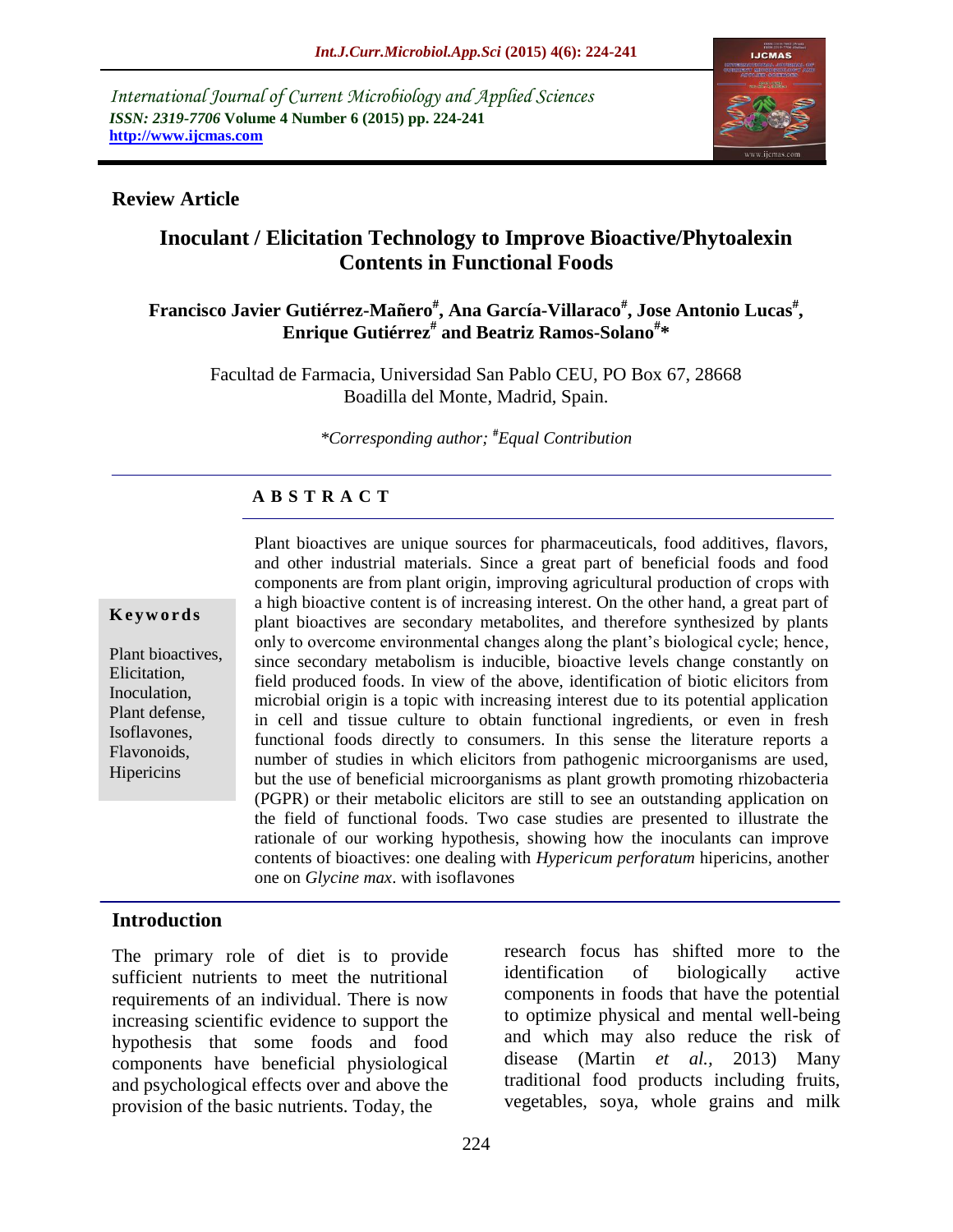*International Journal of Current Microbiology and Applied Sciences ISSN: 2319-7706* **Volume 4 Number 6 (2015) pp. 224-241 http://www.ijcmas.com** 



### **Review Article**

# **Inoculant / Elicitation Technology to Improve Bioactive/Phytoalexin Contents in Functional Foods**

### $\bold{F}$ rancisco Javier Gutiérrez-Mañero $^{\#}$ , Ana García-Villaraco $^{\#}$ , Jose Antonio Lucas $^{\#}$ , **Enrique Gutiérrez# and Beatriz Ramos-Solano# \***

Facultad de Farmacia, Universidad San Pablo CEU, PO Box 67, 28668 Boadilla del Monte, Madrid, Spain.

*\*Corresponding author;* **#***Equal Contribution*

### **A B S T R A C T**

#### **K e y w o r d s**

Plant bioactives, Elicitation, Inoculation, Plant defense, Isoflavones, Flavonoids, **Hipericins** 

Plant bioactives are unique sources for pharmaceuticals, food additives, flavors, and other industrial materials. Since a great part of beneficial foods and food components are from plant origin, improving agricultural production of crops with a high bioactive content is of increasing interest. On the other hand, a great part of plant bioactives are secondary metabolites, and therefore synthesized by plants only to overcome environmental changes along the plant"s biological cycle; hence, since secondary metabolism is inducible, bioactive levels change constantly on field produced foods. In view of the above, identification of biotic elicitors from microbial origin is a topic with increasing interest due to its potential application in cell and tissue culture to obtain functional ingredients, or even in fresh functional foods directly to consumers. In this sense the literature reports a number of studies in which elicitors from pathogenic microorganisms are used, but the use of beneficial microorganisms as plant growth promoting rhizobacteria (PGPR) or their metabolic elicitors are still to see an outstanding application on the field of functional foods. Two case studies are presented to illustrate the rationale of our working hypothesis, showing how the inoculants can improve contents of bioactives: one dealing with *Hypericum perforatum* hipericins, another one on *Glycine max*. with isoflavones

#### **Introduction**

The primary role of diet is to provide sufficient nutrients to meet the nutritional requirements of an individual. There is now increasing scientific evidence to support the hypothesis that some foods and food components have beneficial physiological and psychological effects over and above the provision of the basic nutrients. Today, the

research focus has shifted more to the identification of biologically active components in foods that have the potential to optimize physical and mental well-being and which may also reduce the risk of disease (Martin *et al.,* 2013) Many traditional food products including fruits, vegetables, soya, whole grains and milk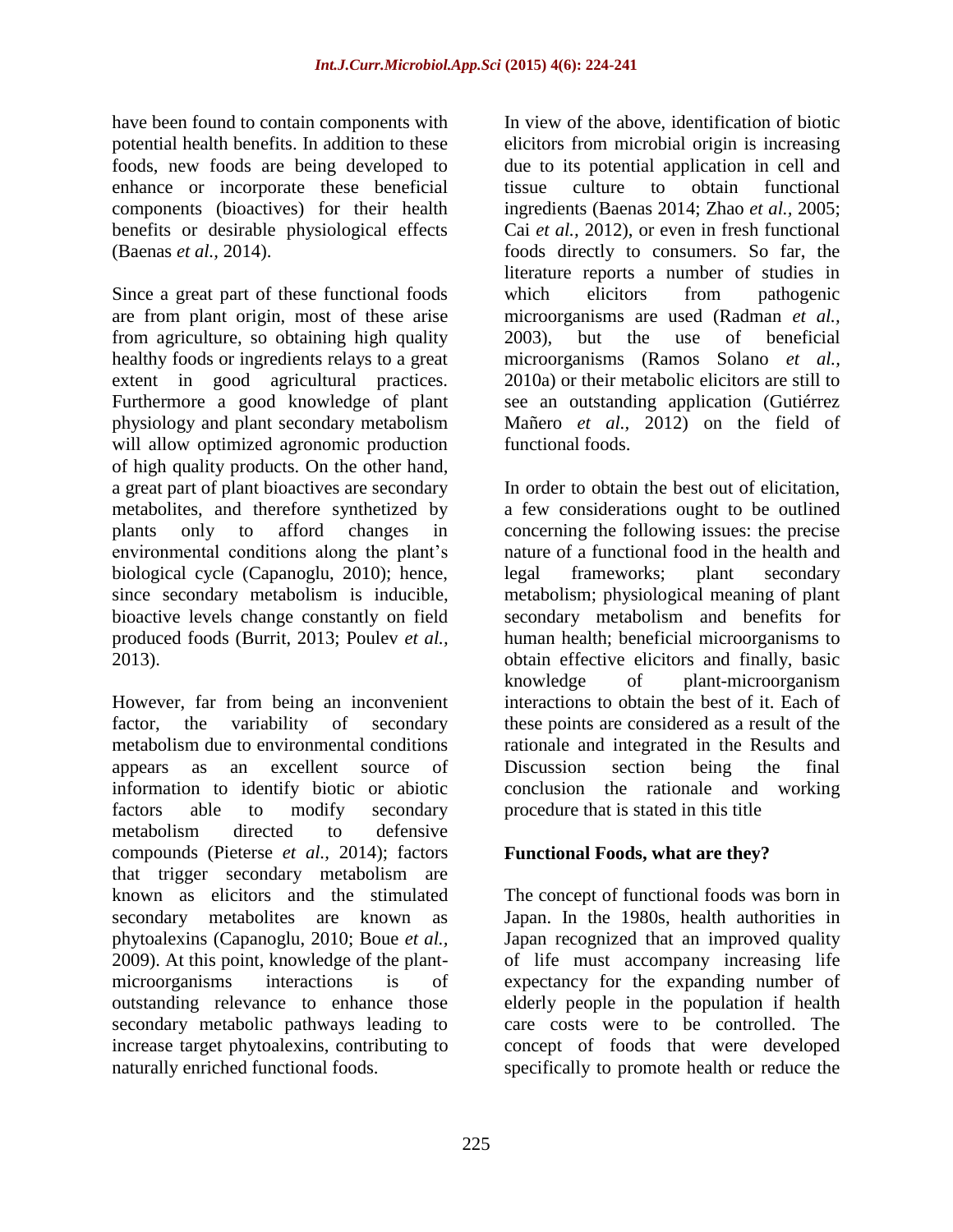have been found to contain components with potential health benefits. In addition to these foods, new foods are being developed to enhance or incorporate these beneficial components (bioactives) for their health benefits or desirable physiological effects (Baenas *et al.,* 2014).

Since a great part of these functional foods are from plant origin, most of these arise from agriculture, so obtaining high quality healthy foods or ingredients relays to a great extent in good agricultural practices. Furthermore a good knowledge of plant physiology and plant secondary metabolism will allow optimized agronomic production of high quality products. On the other hand, a great part of plant bioactives are secondary metabolites, and therefore synthetized by plants only to afford changes in environmental conditions along the plant's biological cycle (Capanoglu, 2010); hence, since secondary metabolism is inducible, bioactive levels change constantly on field produced foods (Burrit, 2013; Poulev *et al.,* 2013).

However, far from being an inconvenient factor, the variability of secondary metabolism due to environmental conditions appears as an excellent source of information to identify biotic or abiotic factors able to modify secondary metabolism directed to defensive compounds (Pieterse *et al.,* 2014); factors that trigger secondary metabolism are known as elicitors and the stimulated secondary metabolites are known as phytoalexins (Capanoglu, 2010; Boue *et al.,* 2009). At this point, knowledge of the plantmicroorganisms interactions is of outstanding relevance to enhance those secondary metabolic pathways leading to increase target phytoalexins, contributing to naturally enriched functional foods.

In view of the above, identification of biotic elicitors from microbial origin is increasing due to its potential application in cell and tissue culture to obtain functional ingredients (Baenas 2014; Zhao *et al.,* 2005; Cai *et al.,* 2012), or even in fresh functional foods directly to consumers. So far, the literature reports a number of studies in which elicitors from pathogenic microorganisms are used (Radman *et al.,* 2003), but the use of beneficial microorganisms (Ramos Solano *et al.,* 2010a) or their metabolic elicitors are still to see an outstanding application (Gutiérrez Mañero *et al.,* 2012) on the field of functional foods.

In order to obtain the best out of elicitation, a few considerations ought to be outlined concerning the following issues: the precise nature of a functional food in the health and legal frameworks; plant secondary metabolism; physiological meaning of plant secondary metabolism and benefits for human health; beneficial microorganisms to obtain effective elicitors and finally, basic knowledge of plant-microorganism interactions to obtain the best of it. Each of these points are considered as a result of the rationale and integrated in the Results and Discussion section being the final conclusion the rationale and working procedure that is stated in this title

# **Functional Foods, what are they?**

The concept of functional foods was born in Japan. In the 1980s, health authorities in Japan recognized that an improved quality of life must accompany increasing life expectancy for the expanding number of elderly people in the population if health care costs were to be controlled. The concept of foods that were developed specifically to promote health or reduce the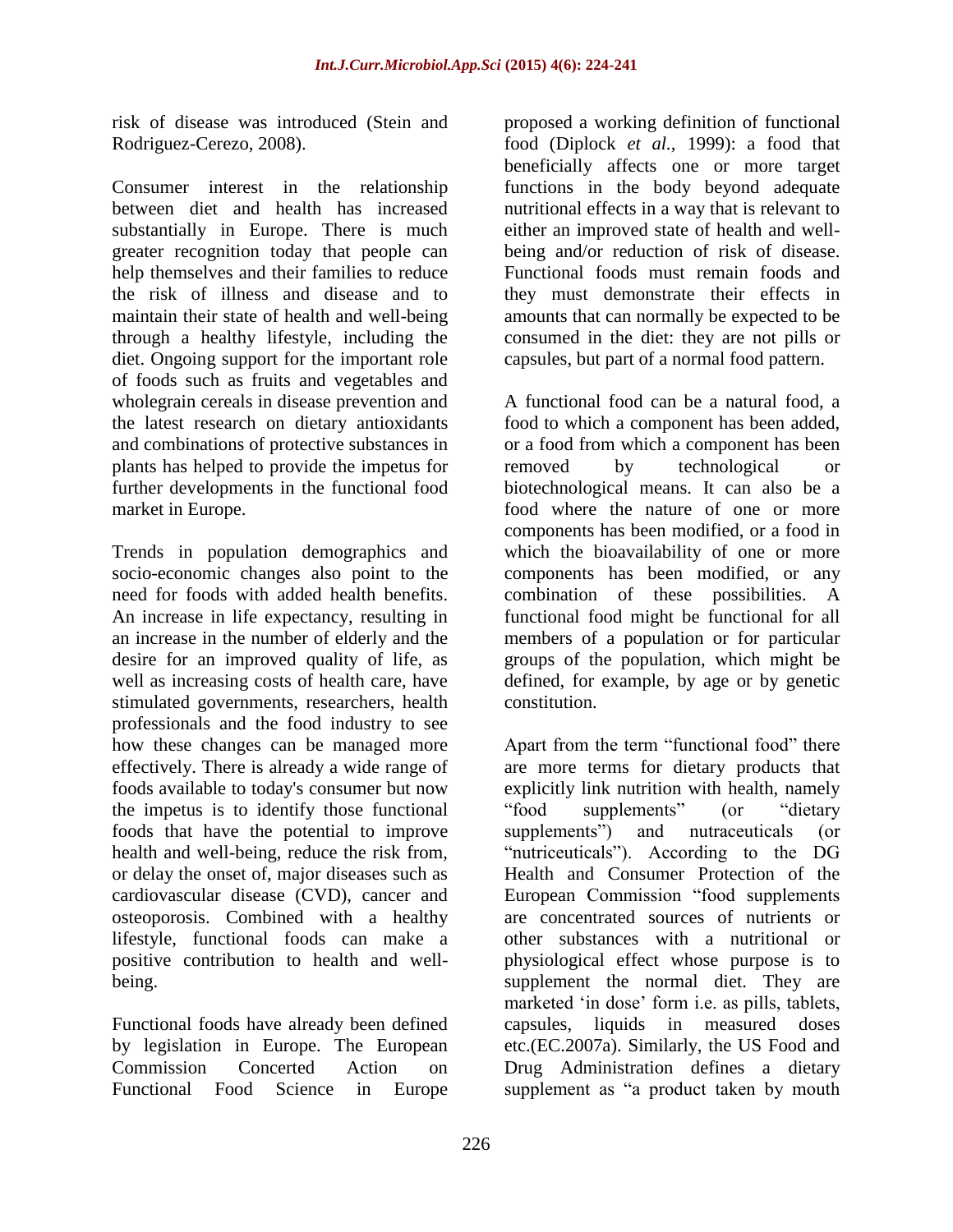risk of disease was introduced (Stein and Rodriguez-Cerezo, 2008).

Consumer interest in the relationship between diet and health has increased substantially in Europe. There is much greater recognition today that people can help themselves and their families to reduce the risk of illness and disease and to maintain their state of health and well-being through a healthy lifestyle, including the diet. Ongoing support for the important role of foods such as fruits and vegetables and wholegrain cereals in disease prevention and the latest research on dietary antioxidants and combinations of protective substances in plants has helped to provide the impetus for further developments in the functional food market in Europe.

Trends in population demographics and socio-economic changes also point to the need for foods with added health benefits. An increase in life expectancy, resulting in an increase in the number of elderly and the desire for an improved quality of life, as well as increasing costs of health care, have stimulated governments, researchers, health professionals and the food industry to see how these changes can be managed more effectively. There is already a wide range of foods available to today's consumer but now the impetus is to identify those functional foods that have the potential to improve health and well-being, reduce the risk from, or delay the onset of, major diseases such as cardiovascular disease (CVD), cancer and osteoporosis. Combined with a healthy lifestyle, functional foods can make a positive contribution to health and wellbeing.

Functional foods have already been defined by legislation in Europe. The European Commission Concerted Action on Functional Food Science in Europe

proposed a working definition of functional food (Diplock *et al.,* 1999): a food that beneficially affects one or more target functions in the body beyond adequate nutritional effects in a way that is relevant to either an improved state of health and wellbeing and/or reduction of risk of disease. Functional foods must remain foods and they must demonstrate their effects in amounts that can normally be expected to be consumed in the diet: they are not pills or capsules, but part of a normal food pattern.

A functional food can be a natural food, a food to which a component has been added, or a food from which a component has been removed by technological or biotechnological means. It can also be a food where the nature of one or more components has been modified, or a food in which the bioavailability of one or more components has been modified, or any combination of these possibilities. A functional food might be functional for all members of a population or for particular groups of the population, which might be defined, for example, by age or by genetic constitution.

Apart from the term "functional food" there are more terms for dietary products that explicitly link nutrition with health, namely "food supplements" (or "dietary supplements") and nutraceuticals (or "nutriceuticals"). According to the DG Health and Consumer Protection of the European Commission "food supplements are concentrated sources of nutrients or other substances with a nutritional or physiological effect whose purpose is to supplement the normal diet. They are marketed 'in dose' form i.e. as pills, tablets, capsules, liquids in measured doses etc.(EC.2007a). Similarly, the US Food and Drug Administration defines a dietary supplement as "a product taken by mouth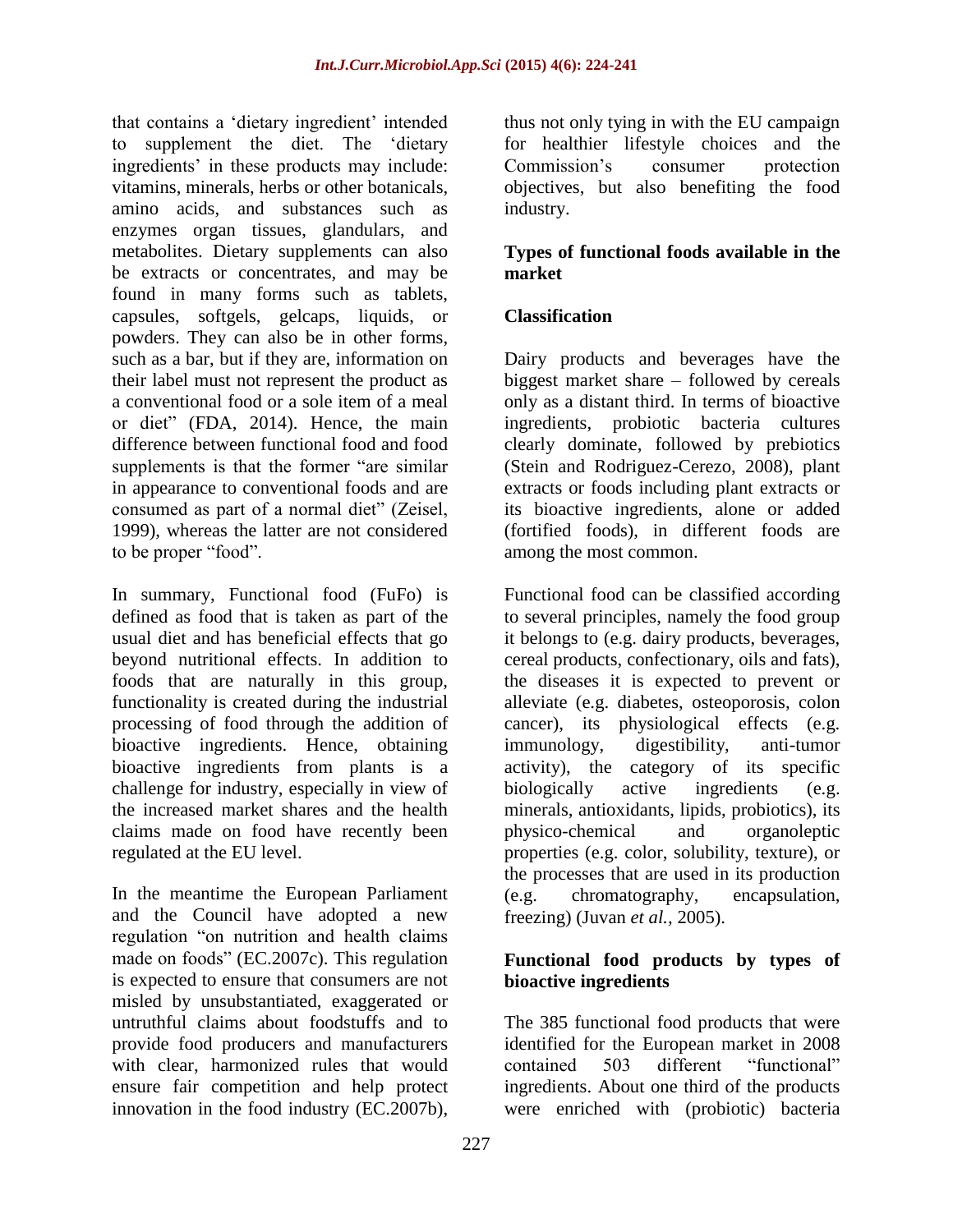that contains a "dietary ingredient" intended to supplement the diet. The "dietary ingredients' in these products may include: vitamins, minerals, herbs or other botanicals, amino acids, and substances such as enzymes organ tissues, glandulars, and metabolites. Dietary supplements can also be extracts or concentrates, and may be found in many forms such as tablets, capsules, softgels, gelcaps, liquids, or powders. They can also be in other forms, such as a bar, but if they are, information on their label must not represent the product as a conventional food or a sole item of a meal or diet" (FDA, 2014). Hence, the main difference between functional food and food supplements is that the former "are similar" in appearance to conventional foods and are consumed as part of a normal diet" (Zeisel, 1999), whereas the latter are not considered to be proper "food".

In summary, Functional food (FuFo) is defined as food that is taken as part of the usual diet and has beneficial effects that go beyond nutritional effects. In addition to foods that are naturally in this group, functionality is created during the industrial processing of food through the addition of bioactive ingredients. Hence, obtaining bioactive ingredients from plants is a challenge for industry, especially in view of the increased market shares and the health claims made on food have recently been regulated at the EU level.

In the meantime the European Parliament and the Council have adopted a new regulation "on nutrition and health claims made on foods" (EC.2007c). This regulation is expected to ensure that consumers are not misled by unsubstantiated, exaggerated or untruthful claims about foodstuffs and to provide food producers and manufacturers with clear, harmonized rules that would ensure fair competition and help protect innovation in the food industry (EC.2007b),

thus not only tying in with the EU campaign for healthier lifestyle choices and the Commission's consumer protection objectives, but also benefiting the food industry.

### **Types of functional foods available in the market**

# **Classification**

Dairy products and beverages have the biggest market share – followed by cereals only as a distant third. In terms of bioactive ingredients, probiotic bacteria cultures clearly dominate, followed by prebiotics (Stein and Rodriguez-Cerezo, 2008), plant extracts or foods including plant extracts or its bioactive ingredients, alone or added (fortified foods), in different foods are among the most common.

Functional food can be classified according to several principles, namely the food group it belongs to (e.g. dairy products, beverages, cereal products, confectionary, oils and fats), the diseases it is expected to prevent or alleviate (e.g. diabetes, osteoporosis, colon cancer), its physiological effects (e.g. immunology, digestibility, anti-tumor activity), the category of its specific biologically active ingredients (e.g. minerals, antioxidants, lipids, probiotics), its physico-chemical and organoleptic properties (e.g. color, solubility, texture), or the processes that are used in its production (e.g. chromatography, encapsulation, freezing) (Juvan *et al.,* 2005).

### **Functional food products by types of bioactive ingredients**

The 385 functional food products that were identified for the European market in 2008 contained 503 different "functional" ingredients. About one third of the products were enriched with (probiotic) bacteria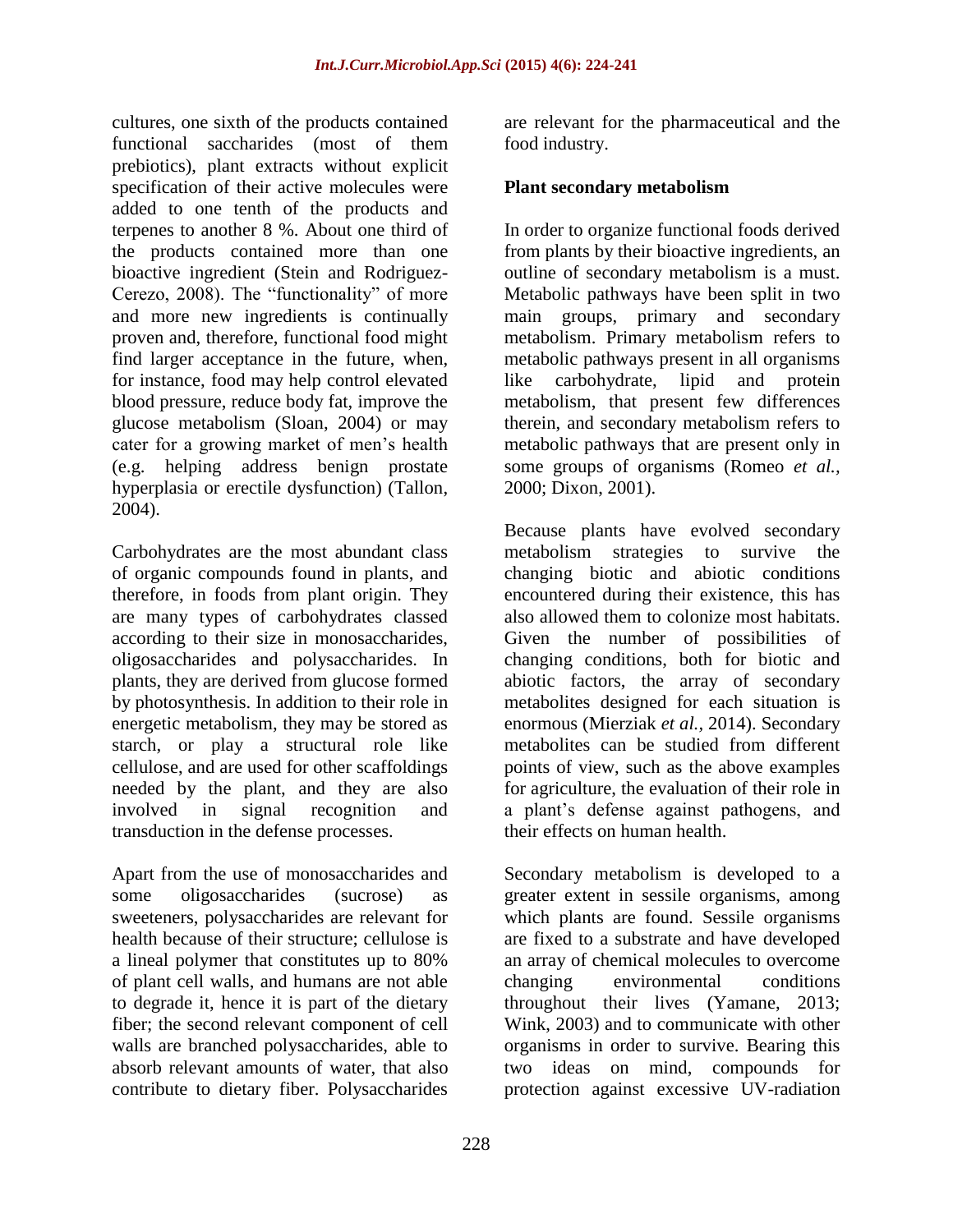cultures, one sixth of the products contained functional saccharides (most of them prebiotics), plant extracts without explicit specification of their active molecules were added to one tenth of the products and terpenes to another 8 %. About one third of the products contained more than one bioactive ingredient (Stein and Rodriguez-Cerezo, 2008). The "functionality" of more and more new ingredients is continually proven and, therefore, functional food might find larger acceptance in the future, when, for instance, food may help control elevated blood pressure, reduce body fat, improve the glucose metabolism (Sloan, 2004) or may cater for a growing market of men"s health (e.g. helping address benign prostate hyperplasia or erectile dysfunction) (Tallon, 2004).

Carbohydrates are the most abundant class of organic compounds found in plants, and therefore, in foods from plant origin. They are many types of carbohydrates classed according to their size in monosaccharides, oligosaccharides and polysaccharides. In plants, they are derived from glucose formed by photosynthesis. In addition to their role in energetic metabolism, they may be stored as starch, or play a structural role like cellulose, and are used for other scaffoldings needed by the plant, and they are also involved in signal recognition and transduction in the defense processes.

Apart from the use of monosaccharides and some oligosaccharides (sucrose) as sweeteners, polysaccharides are relevant for health because of their structure; cellulose is a lineal polymer that constitutes up to 80% of plant cell walls, and humans are not able to degrade it, hence it is part of the dietary fiber; the second relevant component of cell walls are branched polysaccharides, able to absorb relevant amounts of water, that also contribute to dietary fiber. Polysaccharides

are relevant for the pharmaceutical and the food industry.

### **Plant secondary metabolism**

In order to organize functional foods derived from plants by their bioactive ingredients, an outline of secondary metabolism is a must. Metabolic pathways have been split in two main groups, primary and secondary metabolism. Primary metabolism refers to metabolic pathways present in all organisms like carbohydrate, lipid and protein metabolism, that present few differences therein, and secondary metabolism refers to metabolic pathways that are present only in some groups of organisms (Romeo *et al.,* 2000; Dixon, 2001).

Because plants have evolved secondary metabolism strategies to survive the changing biotic and abiotic conditions encountered during their existence, this has also allowed them to colonize most habitats. Given the number of possibilities of changing conditions, both for biotic and abiotic factors, the array of secondary metabolites designed for each situation is enormous (Mierziak *et al.,* 2014). Secondary metabolites can be studied from different points of view, such as the above examples for agriculture, the evaluation of their role in a plant"s defense against pathogens, and their effects on human health.

Secondary metabolism is developed to a greater extent in sessile organisms, among which plants are found. Sessile organisms are fixed to a substrate and have developed an array of chemical molecules to overcome changing environmental conditions throughout their lives (Yamane, 2013; Wink, 2003) and to communicate with other organisms in order to survive. Bearing this two ideas on mind, compounds for protection against excessive UV-radiation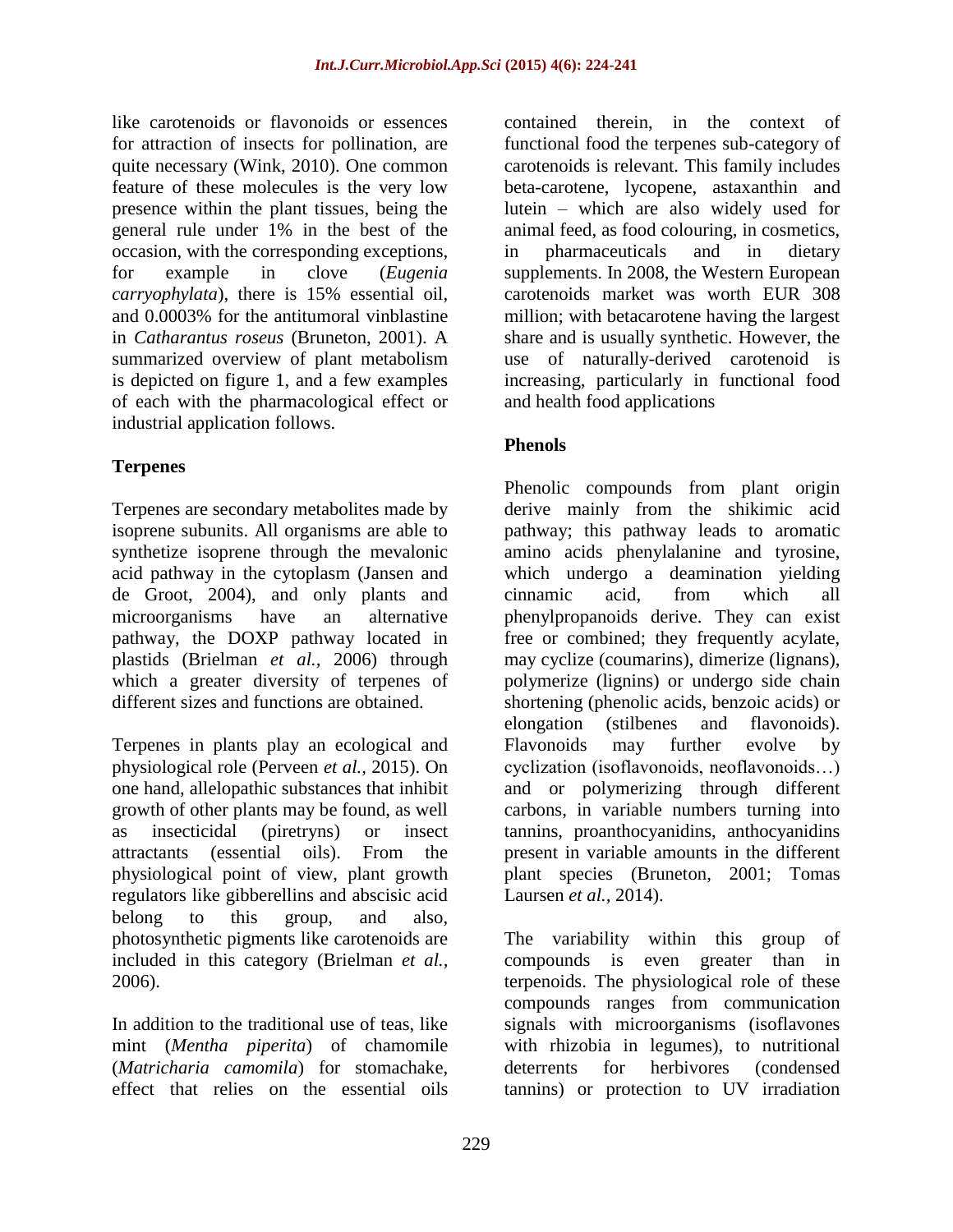like carotenoids or flavonoids or essences for attraction of insects for pollination, are quite necessary (Wink, 2010). One common feature of these molecules is the very low presence within the plant tissues, being the general rule under 1% in the best of the occasion, with the corresponding exceptions, for example in clove (*Eugenia carryophylata*), there is 15% essential oil, and 0.0003% for the antitumoral vinblastine in *Catharantus roseus* (Bruneton, 2001). A summarized overview of plant metabolism is depicted on figure 1, and a few examples of each with the pharmacological effect or industrial application follows.

# **Terpenes**

Terpenes are secondary metabolites made by isoprene subunits. All organisms are able to synthetize isoprene through the mevalonic acid pathway in the cytoplasm (Jansen and de Groot, 2004), and only plants and microorganisms have an alternative pathway, the DOXP pathway located in plastids (Brielman *et al.,* 2006) through which a greater diversity of terpenes of different sizes and functions are obtained.

Terpenes in plants play an ecological and physiological role (Perveen *et al.,* 2015). On one hand, allelopathic substances that inhibit growth of other plants may be found, as well as insecticidal (piretryns) or insect attractants (essential oils). From the physiological point of view, plant growth regulators like gibberellins and abscisic acid belong to this group, and also, photosynthetic pigments like carotenoids are included in this category (Brielman *et al.,* 2006).

In addition to the traditional use of teas, like mint (*Mentha piperita*) of chamomile (*Matricharia camomila*) for stomachake, effect that relies on the essential oils

contained therein, in the context of functional food the terpenes sub-category of carotenoids is relevant. This family includes beta-carotene, lycopene, astaxanthin and lutein – which are also widely used for animal feed, as food colouring, in cosmetics, in pharmaceuticals and in dietary supplements. In 2008, the Western European carotenoids market was worth EUR 308 million; with betacarotene having the largest share and is usually synthetic. However, the use of naturally-derived carotenoid is increasing, particularly in functional food and health food applications

# **Phenols**

Phenolic compounds from plant origin derive mainly from the shikimic acid pathway; this pathway leads to aromatic amino acids phenylalanine and tyrosine, which undergo a deamination yielding cinnamic acid, from which all phenylpropanoids derive. They can exist free or combined; they frequently acylate, may cyclize (coumarins), dimerize (lignans), polymerize (lignins) or undergo side chain shortening (phenolic acids, benzoic acids) or elongation (stilbenes and flavonoids). Flavonoids may further evolve by cyclization (isoflavonoids, neoflavonoids…) and or polymerizing through different carbons, in variable numbers turning into tannins, proanthocyanidins, anthocyanidins present in variable amounts in the different plant species (Bruneton, 2001; Tomas Laursen *et al.,* 2014).

The variability within this group of compounds is even greater than in terpenoids. The physiological role of these compounds ranges from communication signals with microorganisms (isoflavones with rhizobia in legumes), to nutritional deterrents for herbivores (condensed tannins) or protection to UV irradiation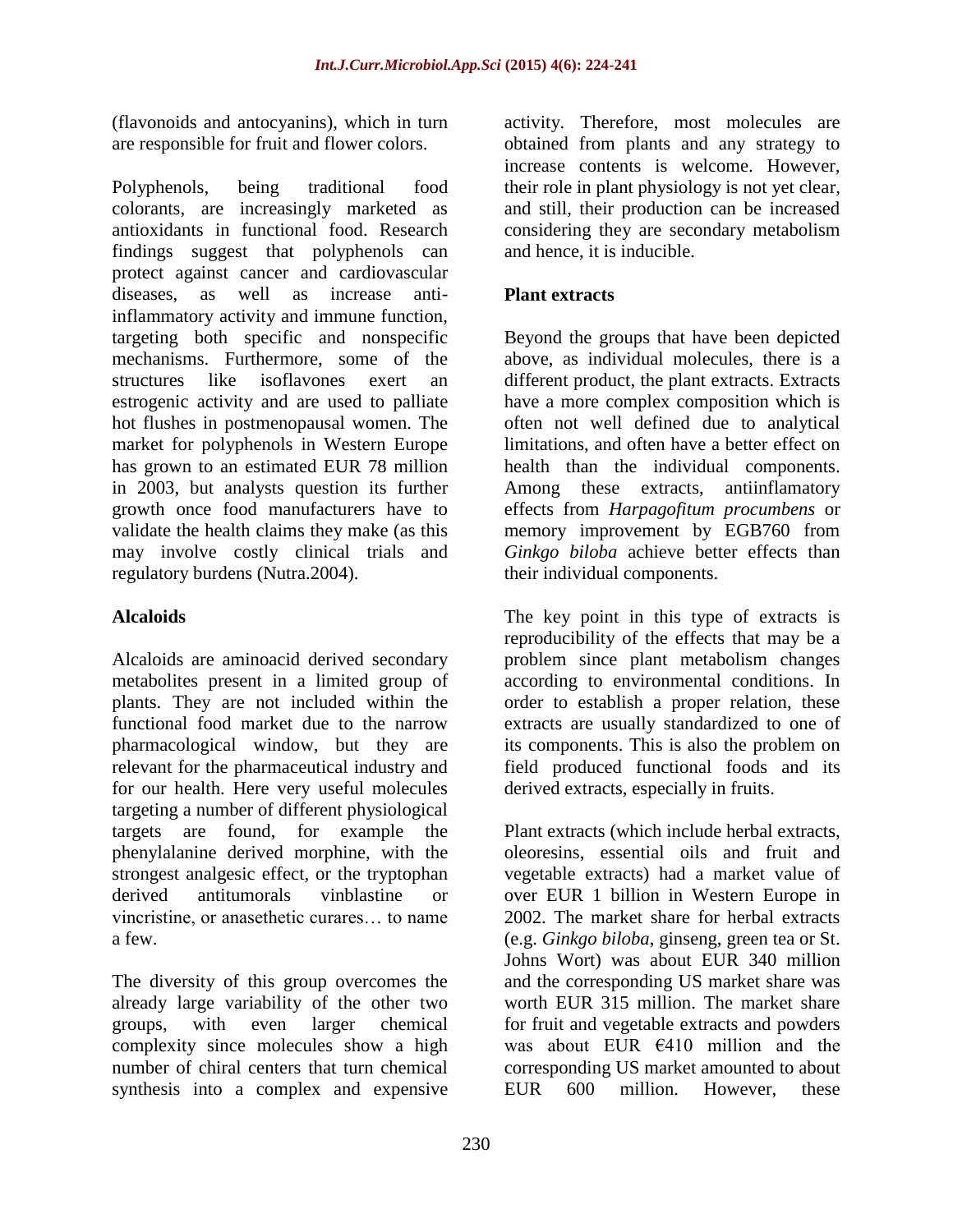(flavonoids and antocyanins), which in turn are responsible for fruit and flower colors.

Polyphenols, being traditional food colorants, are increasingly marketed as antioxidants in functional food. Research findings suggest that polyphenols can protect against cancer and cardiovascular diseases, as well as increase antiinflammatory activity and immune function, targeting both specific and nonspecific mechanisms. Furthermore, some of the structures like isoflavones exert an estrogenic activity and are used to palliate hot flushes in postmenopausal women. The market for polyphenols in Western Europe has grown to an estimated EUR 78 million in 2003, but analysts question its further growth once food manufacturers have to validate the health claims they make (as this may involve costly clinical trials and regulatory burdens (Nutra.2004).

# **Alcaloids**

Alcaloids are aminoacid derived secondary metabolites present in a limited group of plants. They are not included within the functional food market due to the narrow pharmacological window, but they are relevant for the pharmaceutical industry and for our health. Here very useful molecules targeting a number of different physiological targets are found, for example the phenylalanine derived morphine, with the strongest analgesic effect, or the tryptophan derived antitumorals vinblastine or vincristine, or anasethetic curares… to name a few.

The diversity of this group overcomes the already large variability of the other two groups, with even larger chemical complexity since molecules show a high number of chiral centers that turn chemical synthesis into a complex and expensive

activity. Therefore, most molecules are obtained from plants and any strategy to increase contents is welcome. However, their role in plant physiology is not yet clear, and still, their production can be increased considering they are secondary metabolism and hence, it is inducible.

# **Plant extracts**

Beyond the groups that have been depicted above, as individual molecules, there is a different product, the plant extracts. Extracts have a more complex composition which is often not well defined due to analytical limitations, and often have a better effect on health than the individual components. Among these extracts, antiinflamatory effects from *Harpagofitum procumbens* or memory improvement by EGB760 from *Ginkgo biloba* achieve better effects than their individual components.

The key point in this type of extracts is reproducibility of the effects that may be a problem since plant metabolism changes according to environmental conditions. In order to establish a proper relation, these extracts are usually standardized to one of its components. This is also the problem on field produced functional foods and its derived extracts, especially in fruits.

Plant extracts (which include herbal extracts, oleoresins, essential oils and fruit and vegetable extracts) had a market value of over EUR 1 billion in Western Europe in 2002. The market share for herbal extracts (e.g. *Ginkgo biloba*, ginseng, green tea or St. Johns Wort) was about EUR 340 million and the corresponding US market share was worth EUR 315 million. The market share for fruit and vegetable extracts and powders was about EUR  $6410$  million and the corresponding US market amounted to about EUR 600 million. However, these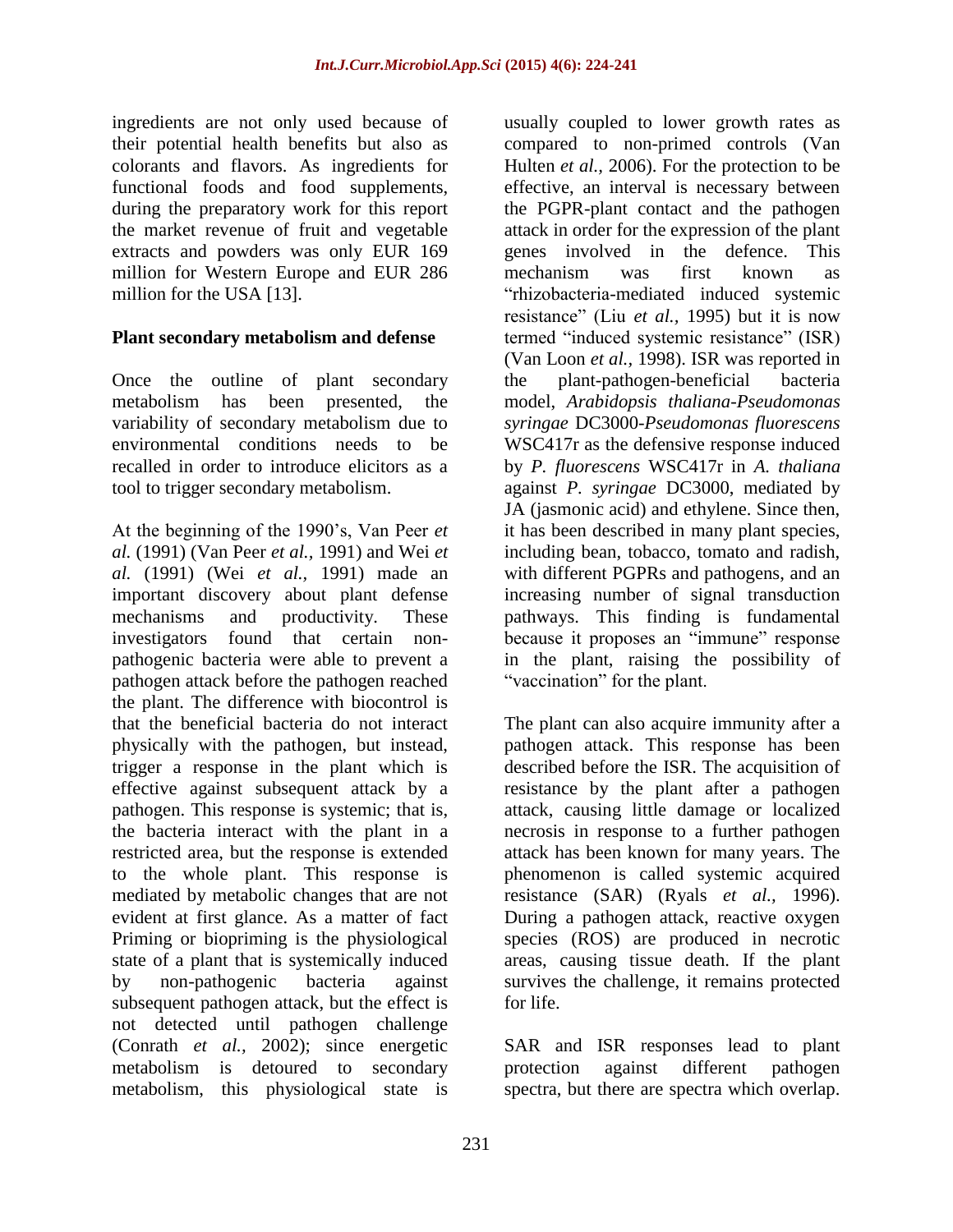ingredients are not only used because of their potential health benefits but also as colorants and flavors. As ingredients for functional foods and food supplements, during the preparatory work for this report the market revenue of fruit and vegetable extracts and powders was only EUR 169 million for Western Europe and EUR 286 million for the USA [13].

### **Plant secondary metabolism and defense**

Once the outline of plant secondary metabolism has been presented, the variability of secondary metabolism due to environmental conditions needs to be recalled in order to introduce elicitors as a tool to trigger secondary metabolism.

At the beginning of the 1990"s, Van Peer *et al.* (1991) (Van Peer *et al.,* 1991) and Wei *et al.* (1991) (Wei *et al.,* 1991) made an important discovery about plant defense mechanisms and productivity. These investigators found that certain nonpathogenic bacteria were able to prevent a pathogen attack before the pathogen reached the plant. The difference with biocontrol is that the beneficial bacteria do not interact physically with the pathogen, but instead, trigger a response in the plant which is effective against subsequent attack by a pathogen. This response is systemic; that is, the bacteria interact with the plant in a restricted area, but the response is extended to the whole plant. This response is mediated by metabolic changes that are not evident at first glance. As a matter of fact Priming or biopriming is the physiological state of a plant that is systemically induced by non-pathogenic bacteria against subsequent pathogen attack, but the effect is not detected until pathogen challenge (Conrath *et al.,* 2002); since energetic metabolism is detoured to secondary metabolism, this physiological state is

usually coupled to lower growth rates as compared to non-primed controls (Van Hulten *et al.,* 2006). For the protection to be effective, an interval is necessary between the PGPR-plant contact and the pathogen attack in order for the expression of the plant genes involved in the defence. This mechanism was first known as "rhizobacteria-mediated induced systemic resistance" (Liu *et al.,* 1995) but it is now termed "induced systemic resistance" (ISR) (Van Loon *et al.,* 1998). ISR was reported in the plant-pathogen-beneficial bacteria model, *Arabidopsis thaliana-Pseudomonas syringae* DC3000-*Pseudomonas fluorescens* WSC417r as the defensive response induced by *P. fluorescens* WSC417r in *A. thaliana* against *P. syringae* DC3000, mediated by JA (jasmonic acid) and ethylene. Since then, it has been described in many plant species, including bean, tobacco, tomato and radish, with different PGPRs and pathogens, and an increasing number of signal transduction pathways. This finding is fundamental because it proposes an "immune" response in the plant, raising the possibility of "vaccination" for the plant.

The plant can also acquire immunity after a pathogen attack. This response has been described before the ISR. The acquisition of resistance by the plant after a pathogen attack, causing little damage or localized necrosis in response to a further pathogen attack has been known for many years. The phenomenon is called systemic acquired resistance (SAR) (Ryals *et al.,* 1996). During a pathogen attack, reactive oxygen species (ROS) are produced in necrotic areas, causing tissue death. If the plant survives the challenge, it remains protected for life.

SAR and ISR responses lead to plant protection against different pathogen spectra, but there are spectra which overlap.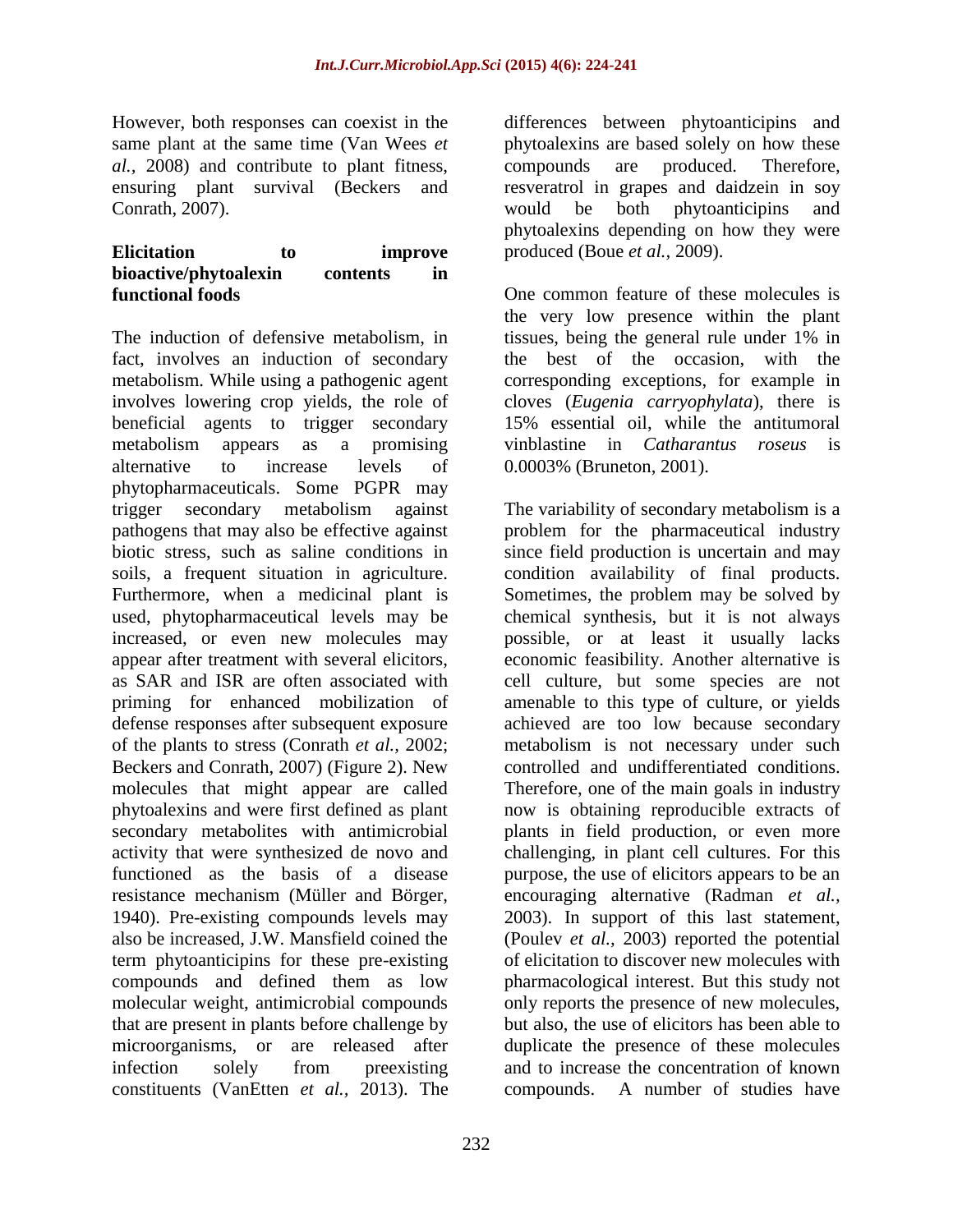However, both responses can coexist in the same plant at the same time (Van Wees *et al.,* 2008) and contribute to plant fitness, ensuring plant survival (Beckers and Conrath, 2007).

### **Elicitation to improve bioactive/phytoalexin contents in functional foods**

The induction of defensive metabolism, in fact, involves an induction of secondary metabolism. While using a pathogenic agent involves lowering crop yields, the role of beneficial agents to trigger secondary metabolism appears as a promising alternative to increase levels of phytopharmaceuticals. Some PGPR may trigger secondary metabolism against pathogens that may also be effective against biotic stress, such as saline conditions in soils, a frequent situation in agriculture. Furthermore, when a medicinal plant is used, phytopharmaceutical levels may be increased, or even new molecules may appear after treatment with several elicitors, as SAR and ISR are often associated with priming for enhanced mobilization of defense responses after subsequent exposure of the plants to stress (Conrath *et al.,* 2002; Beckers and Conrath, 2007) (Figure 2). New molecules that might appear are called phytoalexins and were first defined as plant secondary metabolites with antimicrobial activity that were synthesized de novo and functioned as the basis of a disease resistance mechanism (Müller and Börger, 1940). Pre-existing compounds levels may also be increased, J.W. Mansfield coined the term phytoanticipins for these pre-existing compounds and defined them as low molecular weight, antimicrobial compounds that are present in plants before challenge by microorganisms, or are released after infection solely from preexisting constituents (VanEtten *et al.,* 2013). The

differences between phytoanticipins and phytoalexins are based solely on how these compounds are produced. Therefore, resveratrol in grapes and daidzein in soy would be both phytoanticipins and phytoalexins depending on how they were produced (Boue *et al.,* 2009).

One common feature of these molecules is the very low presence within the plant tissues, being the general rule under 1% in the best of the occasion, with the corresponding exceptions, for example in cloves (*Eugenia carryophylata*), there is 15% essential oil, while the antitumoral vinblastine in *Catharantus roseus* is 0.0003% (Bruneton, 2001).

The variability of secondary metabolism is a problem for the pharmaceutical industry since field production is uncertain and may condition availability of final products. Sometimes, the problem may be solved by chemical synthesis, but it is not always possible, or at least it usually lacks economic feasibility. Another alternative is cell culture, but some species are not amenable to this type of culture, or yields achieved are too low because secondary metabolism is not necessary under such controlled and undifferentiated conditions. Therefore, one of the main goals in industry now is obtaining reproducible extracts of plants in field production, or even more challenging, in plant cell cultures. For this purpose, the use of elicitors appears to be an encouraging alternative (Radman *et al.,* 2003). In support of this last statement, (Poulev *et al.,* 2003) reported the potential of elicitation to discover new molecules with pharmacological interest. But this study not only reports the presence of new molecules, but also, the use of elicitors has been able to duplicate the presence of these molecules and to increase the concentration of known compounds. A number of studies have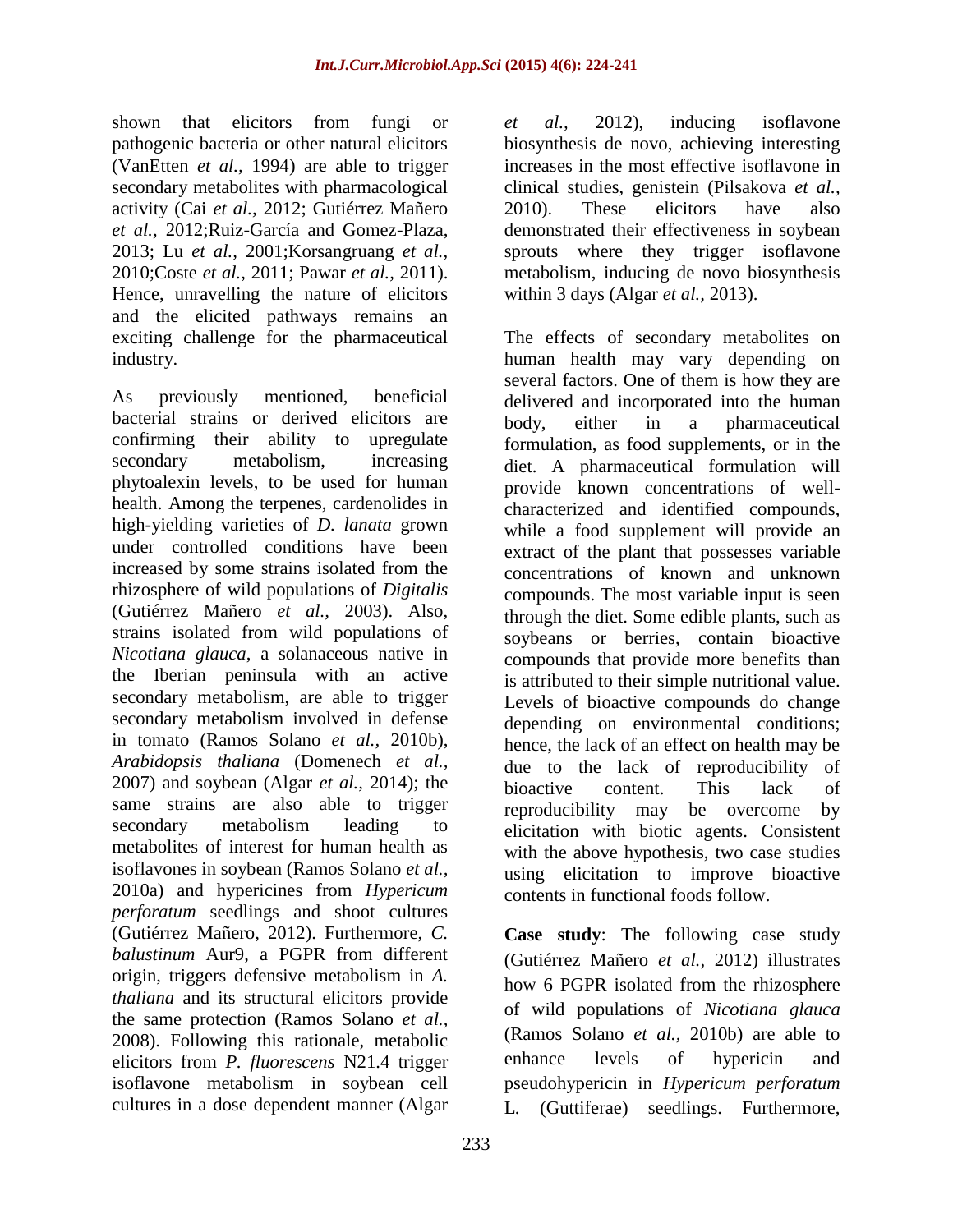shown that elicitors from fungi or pathogenic bacteria or other natural elicitors (VanEtten *et al.,* 1994) are able to trigger secondary metabolites with pharmacological activity (Cai *et al.,* 2012; Gutiérrez Mañero *et al.,* 2012;Ruiz-García and Gomez-Plaza, 2013; Lu *et al.,* 2001;Korsangruang *et al.,* 2010;Coste *et al.,* 2011; Pawar *et al.,* 2011). Hence, unravelling the nature of elicitors and the elicited pathways remains an exciting challenge for the pharmaceutical industry.

As previously mentioned, beneficial bacterial strains or derived elicitors are confirming their ability to upregulate secondary metabolism, increasing phytoalexin levels, to be used for human health. Among the terpenes, cardenolides in high-yielding varieties of *D. lanata* grown under controlled conditions have been increased by some strains isolated from the rhizosphere of wild populations of *Digitalis* (Gutiérrez Mañero *et al.,* 2003). Also, strains isolated from wild populations of *Nicotiana glauca*, a solanaceous native in the Iberian peninsula with an active secondary metabolism, are able to trigger secondary metabolism involved in defense in tomato (Ramos Solano *et al.,* 2010b), *Arabidopsis thaliana* (Domenech *et al.,* 2007) and soybean (Algar *et al.,* 2014); the same strains are also able to trigger secondary metabolism leading to metabolites of interest for human health as isoflavones in soybean (Ramos Solano *et al.,* 2010a) and hypericines from *Hypericum perforatum* seedlings and shoot cultures (Gutiérrez Mañero, 2012). Furthermore, *C. balustinum* Aur9, a PGPR from different origin, triggers defensive metabolism in *A. thaliana* and its structural elicitors provide the same protection (Ramos Solano *et al.,* 2008). Following this rationale, metabolic elicitors from *P. fluorescens* N21.4 trigger isoflavone metabolism in soybean cell cultures in a dose dependent manner (Algar

*et al.,* 2012), inducing isoflavone biosynthesis de novo, achieving interesting increases in the most effective isoflavone in clinical studies, genistein (Pilsakova *et al.,* 2010). These elicitors have also demonstrated their effectiveness in soybean sprouts where they trigger isoflavone metabolism, inducing de novo biosynthesis within 3 days (Algar *et al.,* 2013).

The effects of secondary metabolites on human health may vary depending on several factors. One of them is how they are delivered and incorporated into the human body, either in a pharmaceutical formulation, as food supplements, or in the diet. A pharmaceutical formulation will provide known concentrations of wellcharacterized and identified compounds, while a food supplement will provide an extract of the plant that possesses variable concentrations of known and unknown compounds. The most variable input is seen through the diet. Some edible plants, such as soybeans or berries, contain bioactive compounds that provide more benefits than is attributed to their simple nutritional value. Levels of bioactive compounds do change depending on environmental conditions; hence, the lack of an effect on health may be due to the lack of reproducibility of bioactive content. This lack of reproducibility may be overcome by elicitation with biotic agents. Consistent with the above hypothesis, two case studies using elicitation to improve bioactive contents in functional foods follow.

**Case study**: The following case study (Gutiérrez Mañero *et al.,* 2012) illustrates how 6 PGPR isolated from the rhizosphere of wild populations of *Nicotiana glauca*  (Ramos Solano *et al.,* 2010b) are able to enhance levels of hypericin and pseudohypericin in *Hypericum perforatum*  L*.* (Guttiferae) seedlings. Furthermore,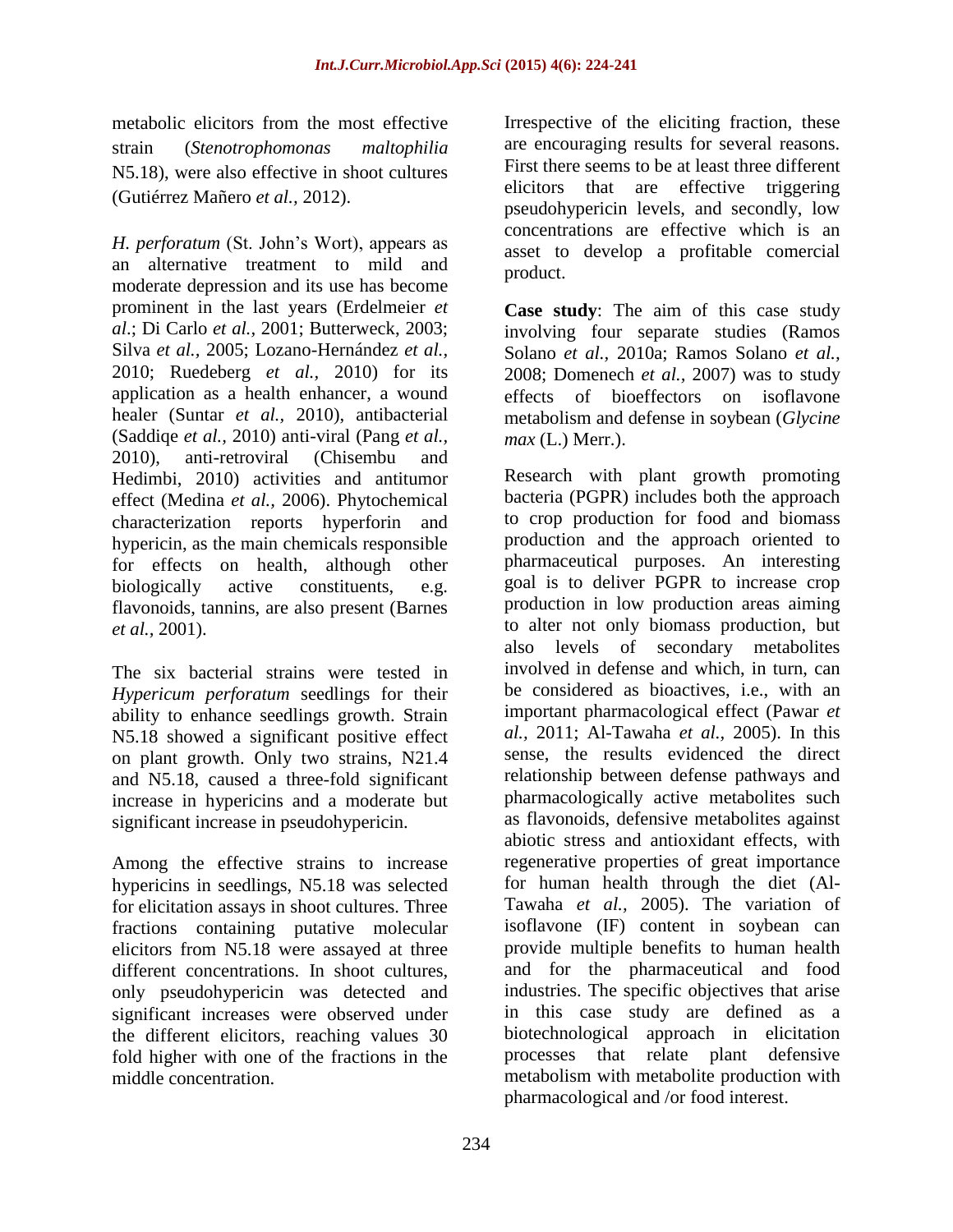metabolic elicitors from the most effective strain (*Stenotrophomonas maltophilia* N5.18), were also effective in shoot cultures (Gutiérrez Mañero *et al.,* 2012).

*H. perforatum* (St. John"s Wort), appears as an alternative treatment to mild and moderate depression and its use has become prominent in the last years (Erdelmeier *et al*.; Di Carlo *et al.,* 2001; Butterweck, 2003; Silva *et al.,* 2005; Lozano-Hernández *et al.,* 2010; Ruedeberg *et al.,* 2010) for its application as a health enhancer, a wound healer (Suntar *et al.,* 2010), antibacterial (Saddiqe *et al.,* 2010) anti-viral (Pang *et al.,* 2010), anti-retroviral (Chisembu and Hedimbi, 2010) activities and antitumor effect (Medina *et al.,* 2006). Phytochemical characterization reports hyperforin and hypericin, as the main chemicals responsible for effects on health, although other biologically active constituents, e.g. flavonoids, tannins, are also present (Barnes *et al.,* 2001).

The six bacterial strains were tested in *Hypericum perforatum* seedlings for their ability to enhance seedlings growth. Strain N5.18 showed a significant positive effect on plant growth. Only two strains, N21.4 and N5.18, caused a three-fold significant increase in hypericins and a moderate but significant increase in pseudohypericin.

Among the effective strains to increase hypericins in seedlings, N5.18 was selected for elicitation assays in shoot cultures. Three fractions containing putative molecular elicitors from N5.18 were assayed at three different concentrations. In shoot cultures, only pseudohypericin was detected and significant increases were observed under the different elicitors, reaching values 30 fold higher with one of the fractions in the middle concentration.

Irrespective of the eliciting fraction, these are encouraging results for several reasons. First there seems to be at least three different elicitors that are effective triggering pseudohypericin levels, and secondly, low concentrations are effective which is an asset to develop a profitable comercial product.

**Case study**: The aim of this case study involving four separate studies (Ramos Solano *et al.,* 2010a; Ramos Solano *et al.,* 2008; Domenech *et al.,* 2007) was to study effects of bioeffectors on isoflavone metabolism and defense in soybean (*Glycine max* (L.) Merr.).

Research with plant growth promoting bacteria (PGPR) includes both the approach to crop production for food and biomass production and the approach oriented to pharmaceutical purposes. An interesting goal is to deliver PGPR to increase crop production in low production areas aiming to alter not only biomass production, but also levels of secondary metabolites involved in defense and which, in turn, can be considered as bioactives, i.e., with an important pharmacological effect (Pawar *et al.,* 2011; Al-Tawaha *et al.,* 2005). In this sense, the results evidenced the direct relationship between defense pathways and pharmacologically active metabolites such as flavonoids, defensive metabolites against abiotic stress and antioxidant effects, with regenerative properties of great importance for human health through the diet (Al-Tawaha *et al.,* 2005). The variation of isoflavone (IF) content in soybean can provide multiple benefits to human health and for the pharmaceutical and food industries. The specific objectives that arise in this case study are defined as a biotechnological approach in elicitation processes that relate plant defensive metabolism with metabolite production with pharmacological and /or food interest.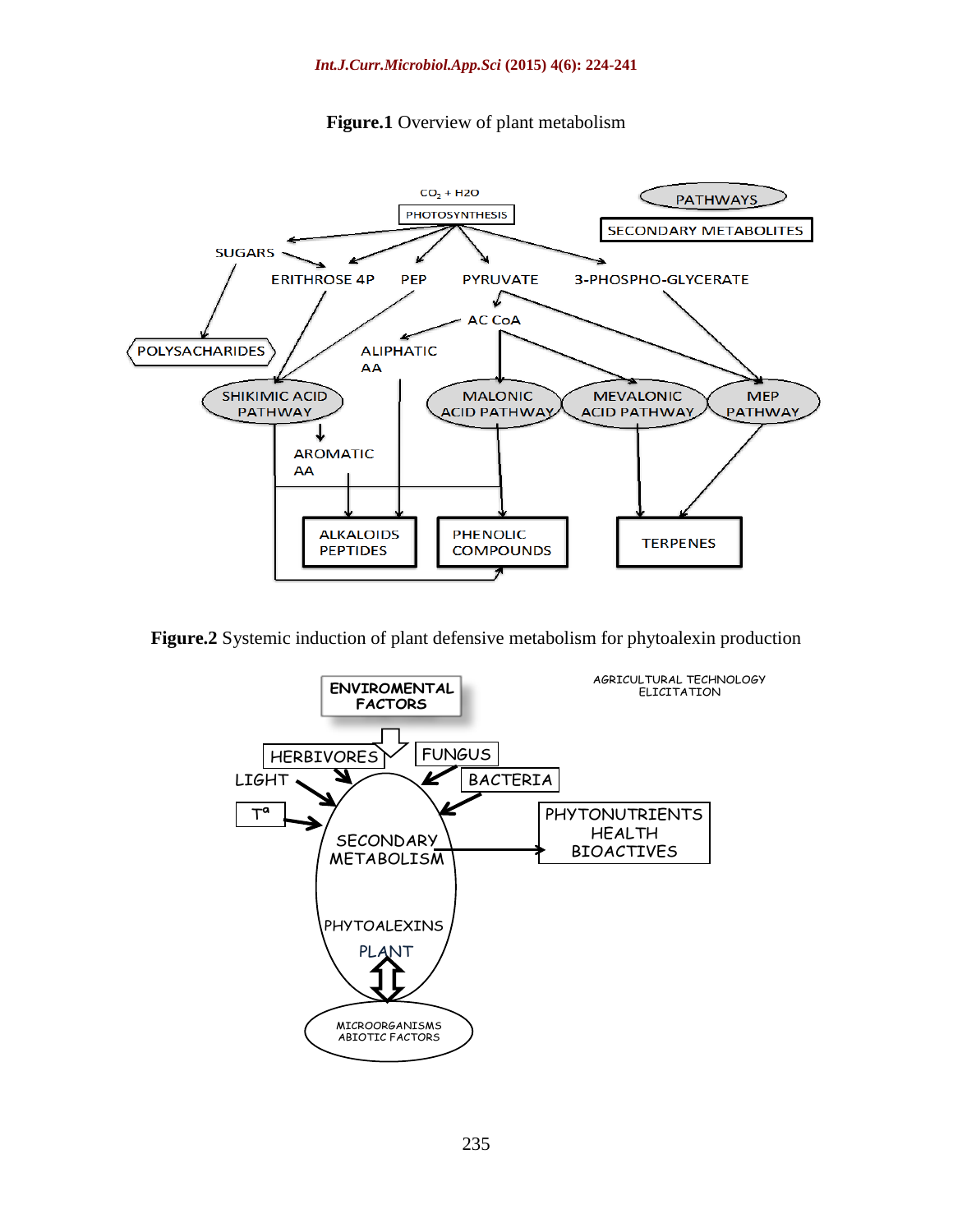

**Figure.1** Overview of plant metabolism

**Figure.2** Systemic induction of plant defensive metabolism for phytoalexin production

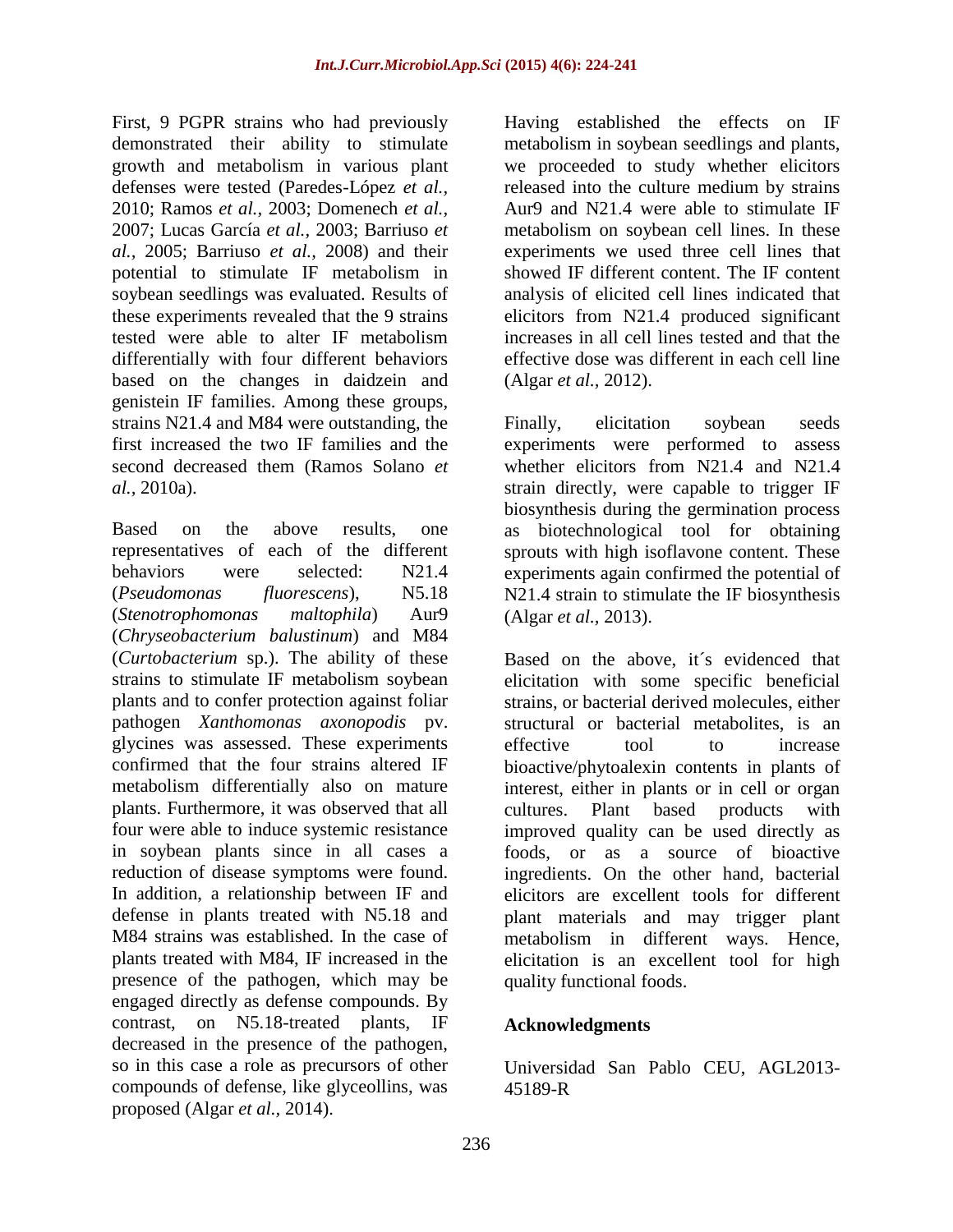First, 9 PGPR strains who had previously demonstrated their ability to stimulate growth and metabolism in various plant defenses were tested (Paredes-López *et al.,* 2010; Ramos *et al.,* 2003; Domenech *et al.,* 2007; Lucas García *et al.,* 2003; Barriuso *et al.,* 2005; Barriuso *et al.,* 2008) and their potential to stimulate IF metabolism in soybean seedlings was evaluated. Results of these experiments revealed that the 9 strains tested were able to alter IF metabolism differentially with four different behaviors based on the changes in daidzein and genistein IF families. Among these groups, strains N21.4 and M84 were outstanding, the first increased the two IF families and the second decreased them (Ramos Solano *et al.,* 2010a).

Based on the above results, one representatives of each of the different behaviors were selected: N21.4 (*Pseudomonas fluorescens*), N5.18 (*Stenotrophomonas maltophila*) Aur9 (*Chryseobacterium balustinum*) and M84 (*Curtobacterium* sp.). The ability of these strains to stimulate IF metabolism soybean plants and to confer protection against foliar pathogen *Xanthomonas axonopodis* pv. glycines was assessed. These experiments confirmed that the four strains altered IF metabolism differentially also on mature plants. Furthermore, it was observed that all four were able to induce systemic resistance in soybean plants since in all cases a reduction of disease symptoms were found. In addition, a relationship between IF and defense in plants treated with N5.18 and M84 strains was established. In the case of plants treated with M84, IF increased in the presence of the pathogen, which may be engaged directly as defense compounds. By contrast, on N5.18-treated plants, IF decreased in the presence of the pathogen, so in this case a role as precursors of other compounds of defense, like glyceollins, was proposed (Algar *et al.,* 2014).

Having established the effects on IF metabolism in soybean seedlings and plants, we proceeded to study whether elicitors released into the culture medium by strains Aur9 and N21.4 were able to stimulate IF metabolism on soybean cell lines. In these experiments we used three cell lines that showed IF different content. The IF content analysis of elicited cell lines indicated that elicitors from N21.4 produced significant increases in all cell lines tested and that the effective dose was different in each cell line (Algar *et al.,* 2012).

Finally, elicitation soybean seeds experiments were performed to assess whether elicitors from N21.4 and N21.4 strain directly, were capable to trigger IF biosynthesis during the germination process as biotechnological tool for obtaining sprouts with high isoflavone content. These experiments again confirmed the potential of N21.4 strain to stimulate the IF biosynthesis (Algar *et al.,* 2013).

Based on the above, it´s evidenced that elicitation with some specific beneficial strains, or bacterial derived molecules, either structural or bacterial metabolites, is an effective tool to increase bioactive/phytoalexin contents in plants of interest, either in plants or in cell or organ cultures. Plant based products with improved quality can be used directly as foods, or as a source of bioactive ingredients. On the other hand, bacterial elicitors are excellent tools for different plant materials and may trigger plant metabolism in different ways. Hence, elicitation is an excellent tool for high quality functional foods.

# **Acknowledgments**

Universidad San Pablo CEU, AGL2013- 45189-R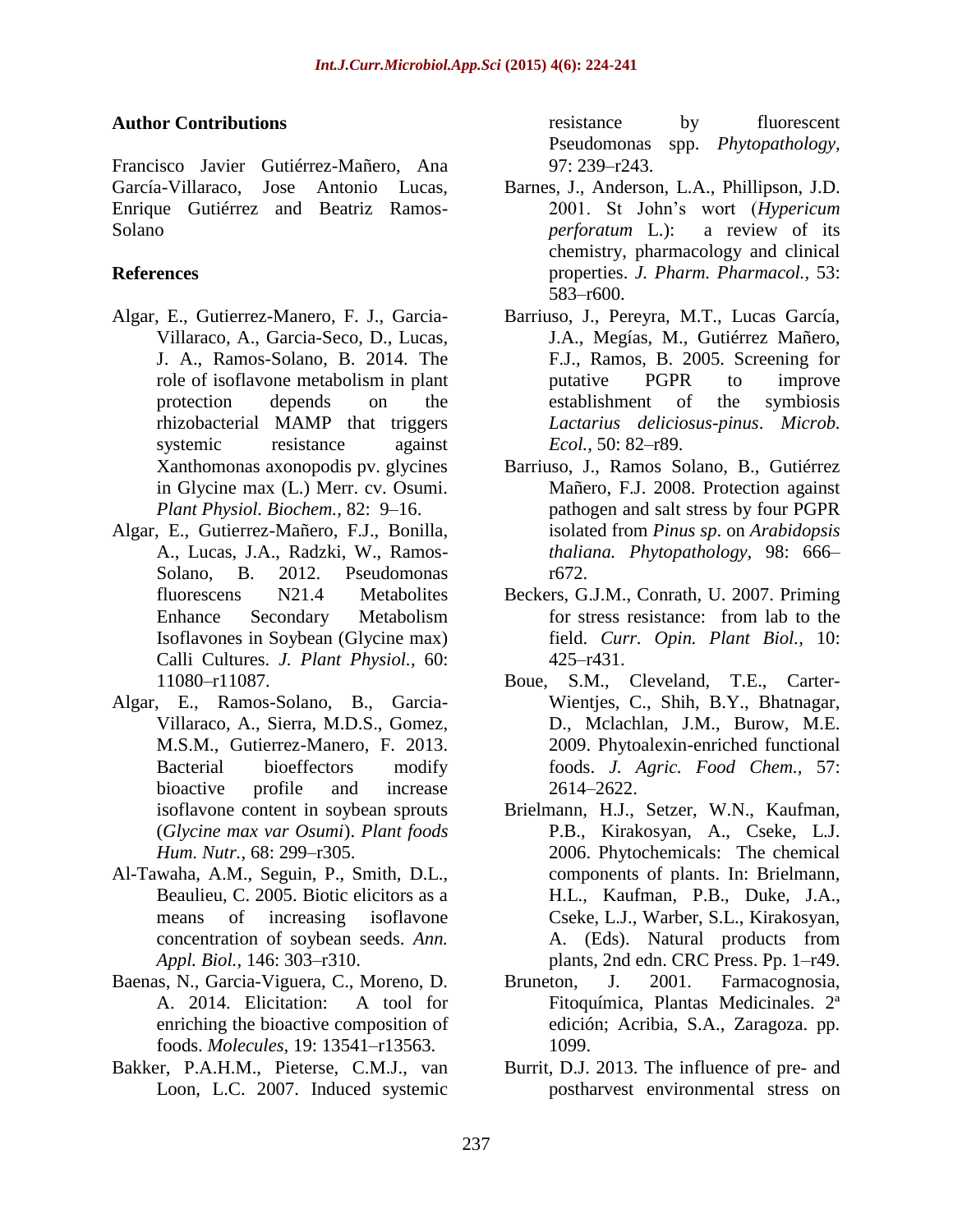### **Author Contributions**

Francisco Javier Gutiérrez-Mañero, Ana García-Villaraco, Jose Antonio Lucas, Enrique Gutiérrez and Beatriz Ramos-Solano

### **References**

- Algar, E., Gutierrez-Manero, F. J., Garcia-Villaraco, A., Garcia-Seco, D., Lucas, J. A., Ramos-Solano, B. 2014. The role of isoflavone metabolism in plant protection depends on the rhizobacterial MAMP that triggers systemic resistance against Xanthomonas axonopodis pv. glycines in Glycine max (L.) Merr. cv. Osumi. *Plant Physiol. Biochem.,* 82: 9–16.
- Algar, E., Gutierrez-Mañero, F.J., Bonilla, A., Lucas, J.A., Radzki, W., Ramos-Solano, B. 2012. Pseudomonas fluorescens N21.4 Metabolites Enhance Secondary Metabolism Isoflavones in Soybean (Glycine max) Calli Cultures. *J. Plant Physiol.,* 60: 11080–r11087.
- Algar, E., Ramos-Solano, B., Garcia-Villaraco, A., Sierra, M.D.S., Gomez, M.S.M., Gutierrez-Manero, F. 2013. Bacterial bioeffectors modify bioactive profile and increase isoflavone content in soybean sprouts (*Glycine max var Osumi*). *Plant foods Hum. Nutr.,* 68: 299–r305.
- Al-Tawaha, A.M., Seguin, P., Smith, D.L., Beaulieu, C. 2005. Biotic elicitors as a means of increasing isoflavone concentration of soybean seeds. *Ann. Appl. Biol.,* 146: 303–r310.
- Baenas, N., Garcia-Viguera, C., Moreno, D. A. 2014. Elicitation: A tool for enriching the bioactive composition of foods. *Molecules,* 19: 13541–r13563.
- Bakker, P.A.H.M., Pieterse, C.M.J., van Loon, L.C. 2007. Induced systemic

resistance by fluorescent Pseudomonas spp. *Phytopathology,* 97: 239–r243.

- Barnes, J., Anderson, L.A., Phillipson, J.D. 2001. St John"s wort (*Hypericum perforatum* L.): a review of its chemistry, pharmacology and clinical properties. *J. Pharm. Pharmacol.,* 53: 583–r600.
- Barriuso, J., Pereyra, M.T., Lucas García, J.A., Megías, M., Gutiérrez Mañero, F.J., Ramos, B. 2005. Screening for putative PGPR to improve establishment of the symbiosis *Lactarius deliciosus-pinus*. *Microb. Ecol.,* 50: 82–r89.
- Barriuso, J., Ramos Solano, B., Gutiérrez Mañero, F.J. 2008. Protection against pathogen and salt stress by four PGPR isolated from *Pinus sp*. on *Arabidopsis thaliana. Phytopathology,* 98: 666– r672.
- Beckers, G.J.M., Conrath, U. 2007. Priming for stress resistance: from lab to the field. *Curr. Opin. Plant Biol.,* 10: 425–r431.
- Boue, S.M., Cleveland, T.E., Carter-Wientjes, C., Shih, B.Y., Bhatnagar, D., Mclachlan, J.M., Burow, M.E. 2009. Phytoalexin-enriched functional foods. *J. Agric. Food Chem.,* 57: 2614–2622.
- Brielmann, H.J., Setzer, W.N., Kaufman, P.B., Kirakosyan, A., Cseke, L.J. 2006. Phytochemicals: The chemical components of plants. In: Brielmann, H.L., Kaufman, P.B., Duke, J.A., Cseke, L.J., Warber, S.L., Kirakosyan, A. (Eds). Natural products from plants, 2nd edn. CRC Press. Pp. 1–r49.
- Bruneton, J. 2001. Farmacognosia, Fitoquímica, Plantas Medicinales. 2ª edición; Acribia, S.A., Zaragoza. pp. 1099.
- Burrit, D.J. 2013. The influence of pre- and postharvest environmental stress on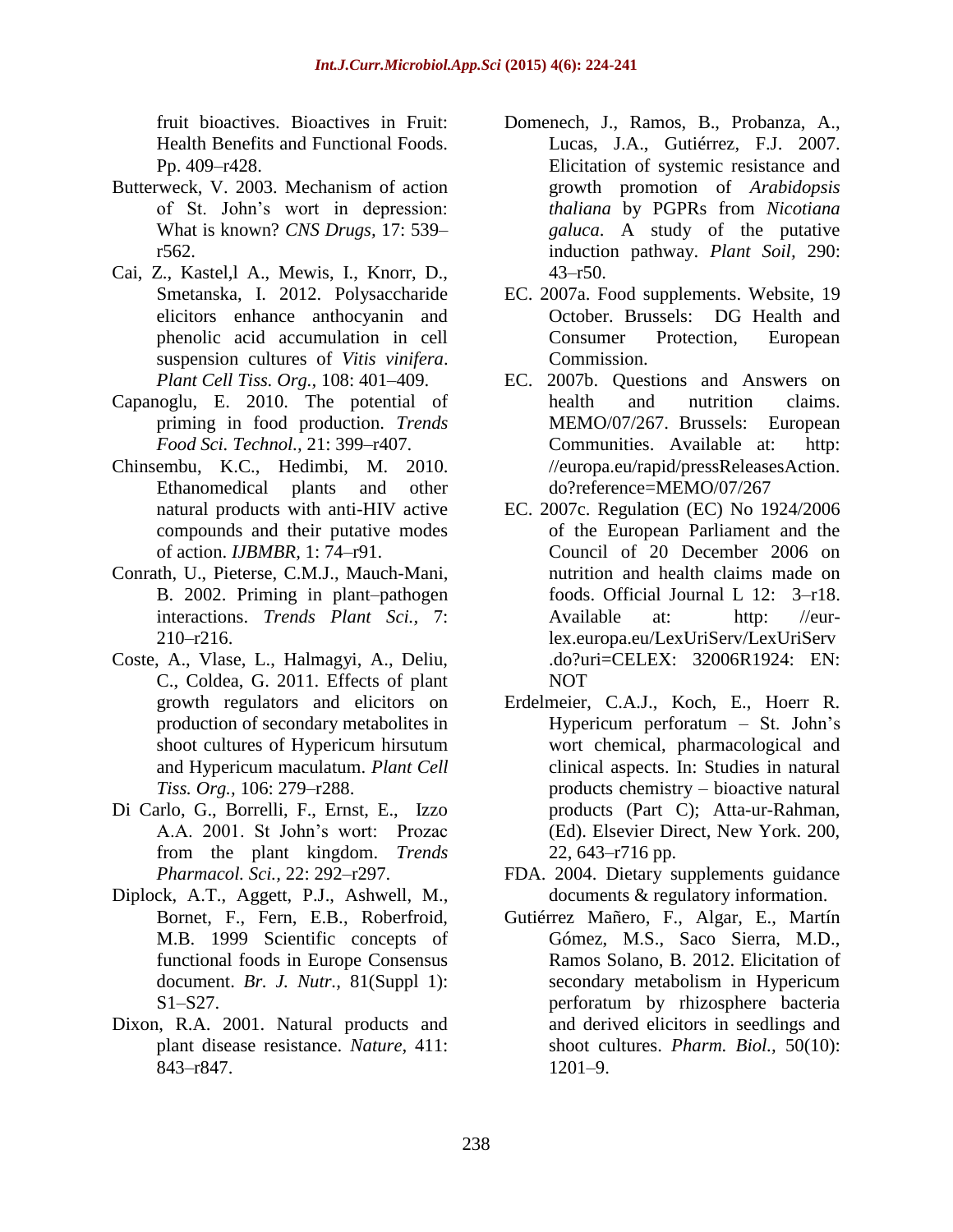fruit bioactives. Bioactives in Fruit: Health Benefits and Functional Foods. Pp. 409–r428.

- Butterweck, V. 2003. Mechanism of action of St. John"s wort in depression: What is known? *CNS Drugs,* 17: 539– r562.
- Cai, Z., Kastel,l A., Mewis, I., Knorr, D., Smetanska, I. 2012. Polysaccharide elicitors enhance anthocyanin and phenolic acid accumulation in cell suspension cultures of *Vitis vinifera*. *Plant Cell Tiss. Org.,* 108: 401–409.
- Capanoglu, E. 2010. The potential of priming in food production. *Trends Food Sci. Technol.,* 21: 399–r407.
- Chinsembu, K.C., Hedimbi, M. 2010. Ethanomedical plants and other natural products with anti-HIV active compounds and their putative modes of action. *IJBMBR,* 1: 74–r91.
- Conrath, U., Pieterse, C.M.J., Mauch-Mani, B. 2002. Priming in plant–pathogen interactions. *Trends Plant Sci.,* 7: 210–r216.
- Coste, A., Vlase, L., Halmagyi, A., Deliu, C., Coldea, G. 2011. Effects of plant growth regulators and elicitors on production of secondary metabolites in shoot cultures of Hypericum hirsutum and Hypericum maculatum. *Plant Cell Tiss. Org.,* 106: 279–r288.
- Di Carlo, G., Borrelli, F., Ernst, E., Izzo A.A. 2001. St John"s wort: Prozac from the plant kingdom. *Trends Pharmacol. Sci.,* 22: 292–r297.
- Diplock, A.T., Aggett, P.J., Ashwell, M., Bornet, F., Fern, E.B., Roberfroid, M.B. 1999 Scientific concepts of functional foods in Europe Consensus document. *Br. J. Nutr.,* 81(Suppl 1): S1–S27.
- Dixon, R.A. 2001. Natural products and plant disease resistance. *Nature,* 411: 843–r847.
- Domenech, J., Ramos, B., Probanza, A., Lucas, J.A., Gutiérrez, F.J. 2007. Elicitation of systemic resistance and growth promotion of *Arabidopsis thaliana* by PGPRs from *Nicotiana galuca*. A study of the putative induction pathway. *Plant Soil,* 290:  $43 - r50$ .
- EC. 2007a. Food supplements. Website, 19 October. Brussels: DG Health and Consumer Protection, European Commission.
- EC. 2007b. Questions and Answers on health and nutrition claims. MEMO/07/267. Brussels: European Communities. Available at: http: //europa.eu/rapid/pressReleasesAction. do?reference=MEMO/07/267
- EC. 2007c. Regulation (EC) No 1924/2006 of the European Parliament and the Council of 20 December 2006 on nutrition and health claims made on foods. Official Journal L 12: 3–r18. Available at: http: //eurlex.europa.eu/LexUriServ/LexUriServ .do?uri=CELEX: 32006R1924: EN: NOT
- Erdelmeier, C.A.J., Koch, E., Hoerr R. Hypericum perforatum – St. John"s wort chemical, pharmacological and clinical aspects. In: Studies in natural products chemistry – bioactive natural products (Part C); Atta-ur-Rahman, (Ed). Elsevier Direct, New York. 200, 22, 643–r716 pp.
- FDA. 2004. Dietary supplements guidance documents & regulatory information.
- Gutiérrez Mañero, F., Algar, E., Martín Gómez, M.S., Saco Sierra, M.D., Ramos Solano, B. 2012. Elicitation of secondary metabolism in Hypericum perforatum by rhizosphere bacteria and derived elicitors in seedlings and shoot cultures. *Pharm. Biol.,* 50(10): 1201–9.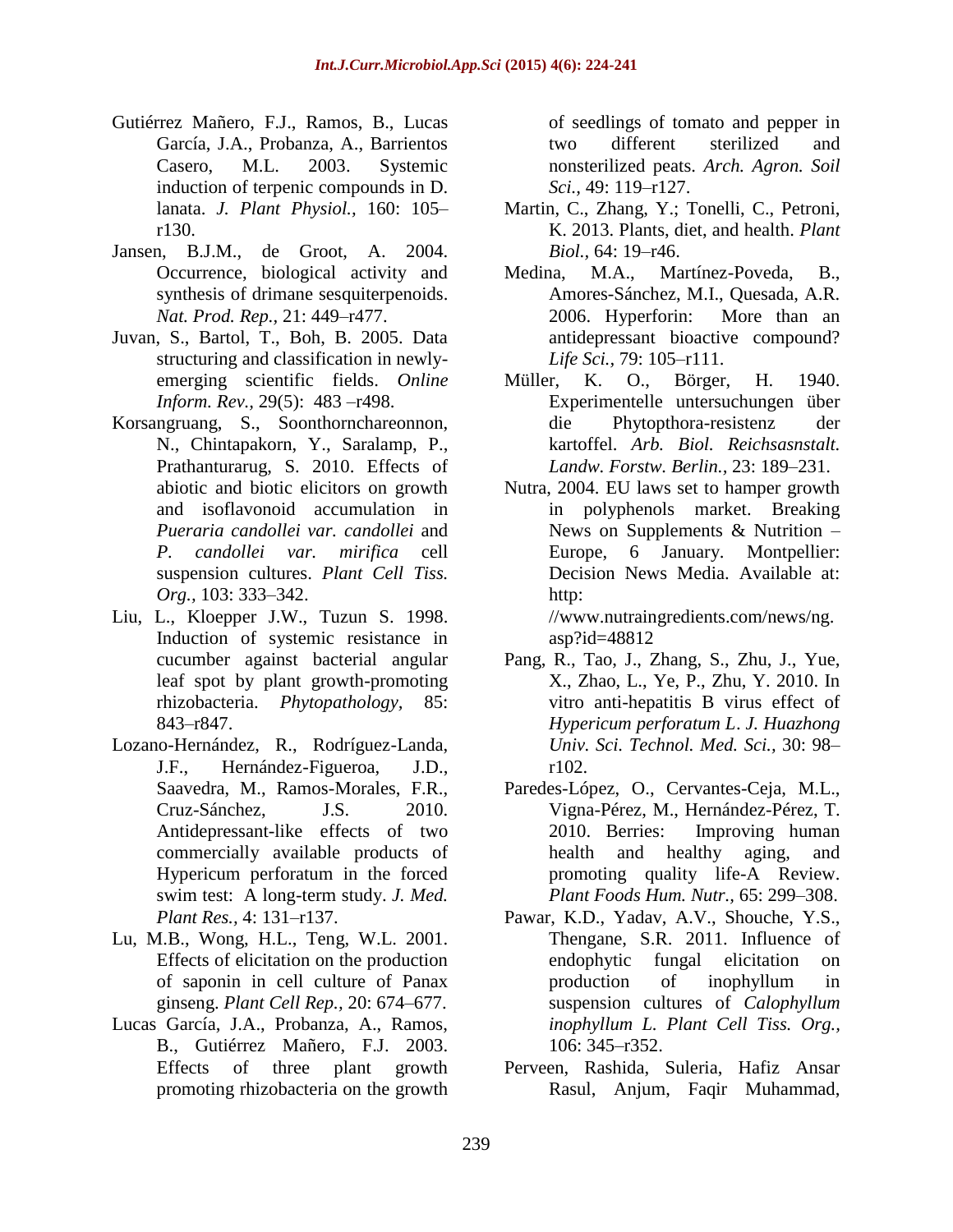- Gutiérrez Mañero, F.J., Ramos, B., Lucas García, J.A., Probanza, A., Barrientos Casero, M.L. 2003. Systemic induction of terpenic compounds in D. lanata. *J. Plant Physiol.,* 160: 105– r130.
- Jansen, B.J.M., de Groot, A. 2004. Occurrence, biological activity and synthesis of drimane sesquiterpenoids. *Nat. Prod. Rep.,* 21: 449–r477.
- Juvan, S., Bartol, T., Boh, B. 2005. Data structuring and classification in newlyemerging scientific fields. *Online Inform. Rev.,* 29(5): 483 –r498.
- Korsangruang, S., Soonthornchareonnon, N., Chintapakorn, Y., Saralamp, P., Prathanturarug, S. 2010. Effects of abiotic and biotic elicitors on growth and isoflavonoid accumulation in *Pueraria candollei var. candollei* and *P. candollei var. mirifica* cell suspension cultures. *Plant Cell Tiss. Org.,* 103: 333–342.
- Liu, L., Kloepper J.W., Tuzun S. 1998. Induction of systemic resistance in cucumber against bacterial angular leaf spot by plant growth-promoting rhizobacteria. *Phytopathology,* 85: 843–r847.
- Lozano-Hernández, R., Rodríguez-Landa, J.F., Hernández-Figueroa, J.D., Saavedra, M., Ramos-Morales, F.R., Cruz-Sánchez, J.S. 2010. Antidepressant-like effects of two commercially available products of Hypericum perforatum in the forced swim test: A long-term study. *J. Med. Plant Res.,* 4: 131–r137.
- Lu, M.B., Wong, H.L., Teng, W.L. 2001. Effects of elicitation on the production of saponin in cell culture of Panax ginseng. *Plant Cell Rep.,* 20: 674–677.
- Lucas García, J.A., Probanza, A., Ramos, B., Gutiérrez Mañero, F.J. 2003. Effects of three plant growth promoting rhizobacteria on the growth

of seedlings of tomato and pepper in two different sterilized and nonsterilized peats. *Arch. Agron. Soil Sci.,* 49: 119–r127.

- Martin, C., Zhang, Y.; Tonelli, C., Petroni, K. 2013. Plants, diet, and health. *Plant Biol.,* 64: 19–r46.
- Medina, M.A., Martínez-Poveda, B., Amores-Sánchez, M.I., Quesada, A.R. 2006. Hyperforin: More than an antidepressant bioactive compound? *Life Sci.,* 79: 105–r111.
- Müller, K. O., Börger, H. 1940. Experimentelle untersuchungen über die Phytopthora-resistenz der kartoffel. *Arb. Biol. Reichsasnstalt. Landw. Forstw. Berlin.,* 23: 189–231.
- Nutra, 2004. EU laws set to hamper growth in polyphenols market. Breaking News on Supplements & Nutrition – Europe, 6 January. Montpellier: Decision News Media. Available at: http:

//www.nutraingredients.com/news/ng. asp?id=48812

- Pang, R., Tao, J., Zhang, S., Zhu, J., Yue, X., Zhao, L., Ye, P., Zhu, Y. 2010. In vitro anti-hepatitis B virus effect of *Hypericum perforatum L*. *J. Huazhong Univ. Sci. Technol. Med. Sci.,* 30: 98– r102.
- Paredes-López, O., Cervantes-Ceja, M.L., Vigna-Pérez, M., Hernández-Pérez, T. 2010. Berries: Improving human health and healthy aging, and promoting quality life-A Review. *Plant Foods Hum. Nutr.,* 65: 299–308.
- Pawar, K.D., Yadav, A.V., Shouche, Y.S., Thengane, S.R. 2011. Influence of endophytic fungal elicitation on production of inophyllum in suspension cultures of *Calophyllum inophyllum L. Plant Cell Tiss. Org.,*  106: 345–r352.
- Perveen, Rashida, Suleria, Hafiz Ansar Rasul, Anjum, Faqir Muhammad,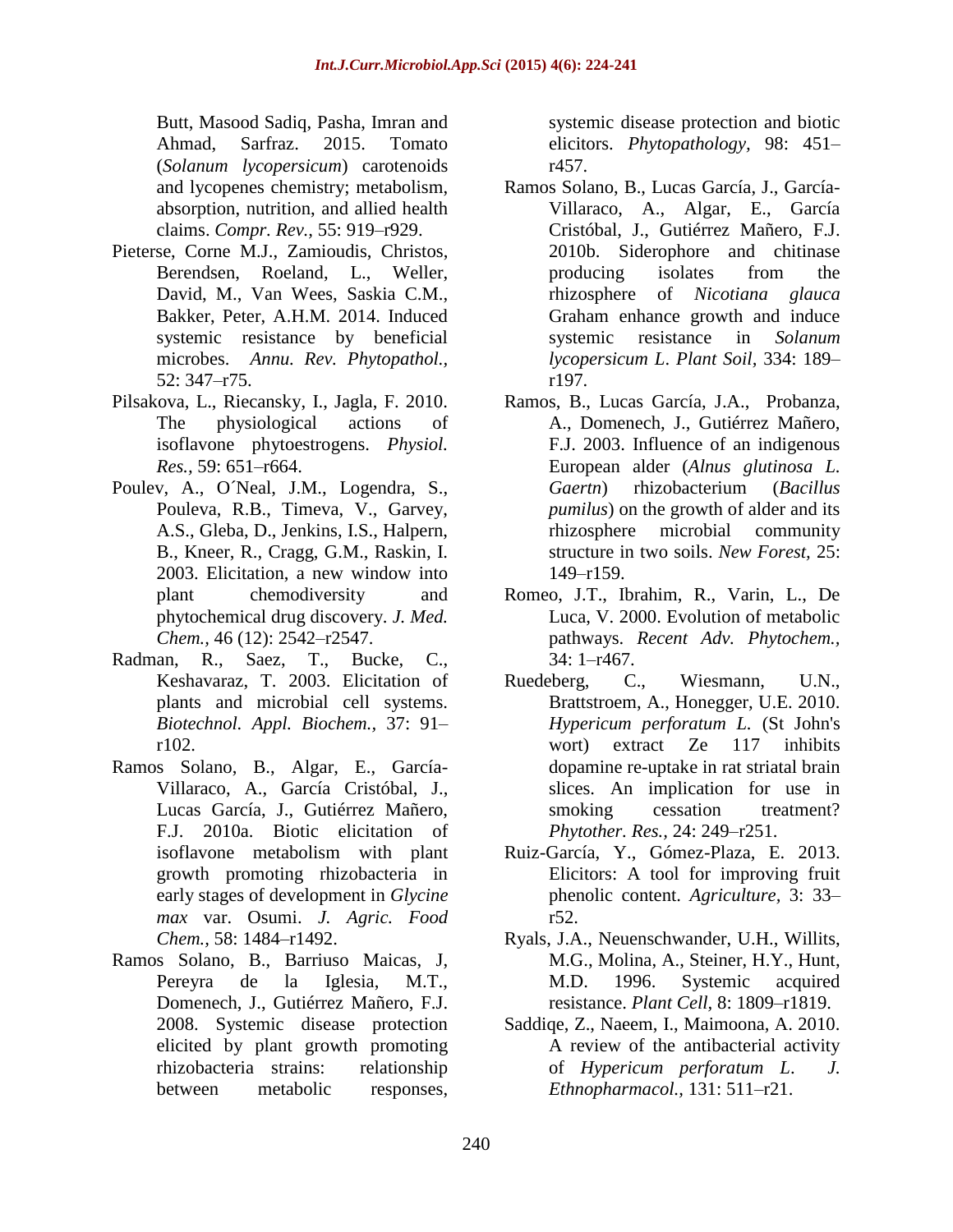Butt, Masood Sadiq, Pasha, Imran and Ahmad, Sarfraz. 2015. Tomato (*Solanum lycopersicum*) carotenoids and lycopenes chemistry; metabolism, absorption, nutrition, and allied health claims. *Compr. Rev.,* 55: 919–r929.

- Pieterse, Corne M.J., Zamioudis, Christos, Berendsen, Roeland, L., Weller, David, M., Van Wees, Saskia C.M., Bakker, Peter, A.H.M. 2014. Induced systemic resistance by beneficial microbes. *Annu. Rev. Phytopathol.,* 52: 347–r75.
- Pilsakova, L., Riecansky, I., Jagla, F. 2010. The physiological actions of isoflavone phytoestrogens. *Physiol. Res.,* 59: 651–r664.
- Poulev, A., O´Neal, J.M., Logendra, S., Pouleva, R.B., Timeva, V., Garvey, A.S., Gleba, D., Jenkins, I.S., Halpern, B., Kneer, R., Cragg, G.M., Raskin, I. 2003. Elicitation, a new window into plant chemodiversity and phytochemical drug discovery. *J. Med. Chem.,* 46 (12): 2542–r2547.
- Radman, R., Saez, T., Bucke, C., Keshavaraz, T. 2003. Elicitation of plants and microbial cell systems. *Biotechnol. Appl. Biochem.,* 37: 91– r102.
- Ramos Solano, B., Algar, E., García-Villaraco, A., García Cristóbal, J., Lucas García, J., Gutiérrez Mañero, F.J. 2010a. Biotic elicitation of isoflavone metabolism with plant growth promoting rhizobacteria in early stages of development in *Glycine max* var. Osumi. *J. Agric. Food Chem.,* 58: 1484–r1492.
- Ramos Solano, B., Barriuso Maicas, J, Pereyra de la Iglesia, M.T., Domenech, J., Gutiérrez Mañero, F.J. 2008. Systemic disease protection elicited by plant growth promoting rhizobacteria strains: relationship between metabolic responses,

systemic disease protection and biotic elicitors. *Phytopathology,* 98: 451– r457.

- Ramos Solano, B., Lucas García, J., García-Villaraco, A., Algar, E., García Cristóbal, J., Gutiérrez Mañero, F.J. 2010b. Siderophore and chitinase producing isolates from the rhizosphere of *Nicotiana glauca* Graham enhance growth and induce systemic resistance in *Solanum lycopersicum L*. *Plant Soil,* 334: 189– r197.
- Ramos, B., Lucas García, J.A., Probanza, A., Domenech, J., Gutiérrez Mañero, F.J. 2003. Influence of an indigenous European alder (*Alnus glutinosa L. Gaertn*) rhizobacterium (*Bacillus pumilus*) on the growth of alder and its rhizosphere microbial community structure in two soils. *New Forest,* 25: 149–r159.
- Romeo, J.T., Ibrahim, R., Varin, L., De Luca, V. 2000. Evolution of metabolic pathways. *Recent Adv. Phytochem.,*  34: 1–r467.
- Ruedeberg, C., Wiesmann, U.N., Brattstroem, A., Honegger, U.E. 2010. *Hypericum perforatum L.* (St John's wort) extract Ze 117 inhibits dopamine re-uptake in rat striatal brain slices. An implication for use in smoking cessation treatment? *Phytother. Res.,* 24: 249–r251.
- Ruiz-García, Y., Gómez-Plaza, E. 2013. Elicitors: A tool for improving fruit phenolic content. *Agriculture,* 3: 33– r52.
- Ryals, J.A., Neuenschwander, U.H., Willits, M.G., Molina, A., Steiner, H.Y., Hunt, M.D. 1996. Systemic acquired resistance. *Plant Cell,* 8: 1809–r1819.
- Saddiqe, Z., Naeem, I., Maimoona, A. 2010. A review of the antibacterial activity of *Hypericum perforatum L*. *J. Ethnopharmacol.,* 131: 511–r21.